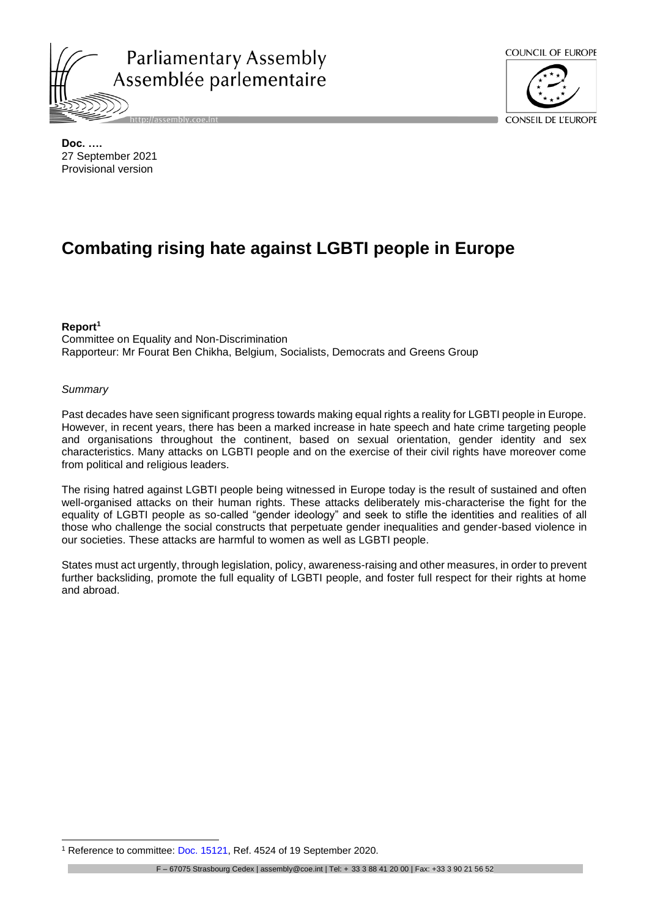

http://assembly.coe.int



CONSEIL DE L'EUROPE

**Doc. ….** 27 September 2021 Provisional version

# **Combating rising hate against LGBTI people in Europe**

#### **Report<sup>1</sup>**

Committee on Equality and Non-Discrimination Rapporteur: Mr Fourat Ben Chikha, Belgium, Socialists, Democrats and Greens Group

#### *Summary*

Past decades have seen significant progress towards making equal rights a reality for LGBTI people in Europe. However, in recent years, there has been a marked increase in hate speech and hate crime targeting people and organisations throughout the continent, based on sexual orientation, gender identity and sex characteristics. Many attacks on LGBTI people and on the exercise of their civil rights have moreover come from political and religious leaders.

The rising hatred against LGBTI people being witnessed in Europe today is the result of sustained and often well-organised attacks on their human rights. These attacks deliberately mis-characterise the fight for the equality of LGBTI people as so-called "gender ideology" and seek to stifle the identities and realities of all those who challenge the social constructs that perpetuate gender inequalities and gender-based violence in our societies. These attacks are harmful to women as well as LGBTI people.

States must act urgently, through legislation, policy, awareness-raising and other measures, in order to prevent further backsliding, promote the full equality of LGBTI people, and foster full respect for their rights at home and abroad.

<sup>1</sup> Reference to committee: [Doc. 15121,](https://pace.coe.int/en/files/28671) Ref. 4524 of 19 September 2020.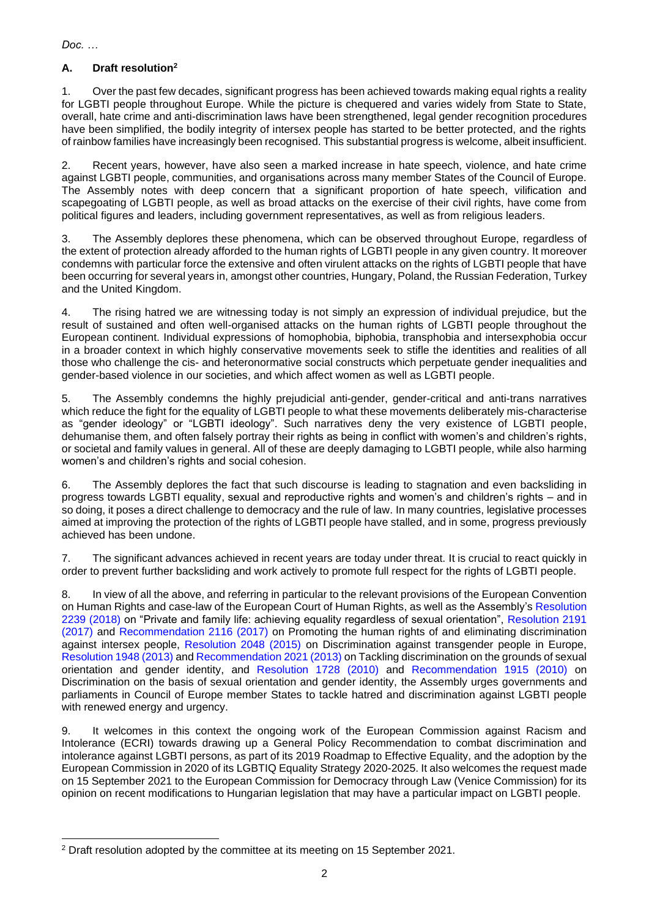## **A. Draft resolution<sup>2</sup>**

1. Over the past few decades, significant progress has been achieved towards making equal rights a reality for LGBTI people throughout Europe. While the picture is chequered and varies widely from State to State, overall, hate crime and anti-discrimination laws have been strengthened, legal gender recognition procedures have been simplified, the bodily integrity of intersex people has started to be better protected, and the rights of rainbow families have increasingly been recognised. This substantial progress is welcome, albeit insufficient.

2. Recent years, however, have also seen a marked increase in hate speech, violence, and hate crime against LGBTI people, communities, and organisations across many member States of the Council of Europe. The Assembly notes with deep concern that a significant proportion of hate speech, vilification and scapegoating of LGBTI people, as well as broad attacks on the exercise of their civil rights, have come from political figures and leaders, including government representatives, as well as from religious leaders.

3. The Assembly deplores these phenomena, which can be observed throughout Europe, regardless of the extent of protection already afforded to the human rights of LGBTI people in any given country. It moreover condemns with particular force the extensive and often virulent attacks on the rights of LGBTI people that have been occurring for several years in, amongst other countries, Hungary, Poland, the Russian Federation, Turkey and the United Kingdom.

4. The rising hatred we are witnessing today is not simply an expression of individual prejudice, but the result of sustained and often well-organised attacks on the human rights of LGBTI people throughout the European continent. Individual expressions of homophobia, biphobia, transphobia and intersexphobia occur in a broader context in which highly conservative movements seek to stifle the identities and realities of all those who challenge the cis- and heteronormative social constructs which perpetuate gender inequalities and gender-based violence in our societies, and which affect women as well as LGBTI people.

5. The Assembly condemns the highly prejudicial anti-gender, gender-critical and anti-trans narratives which reduce the fight for the equality of LGBTI people to what these movements deliberately mis-characterise as "gender ideology" or "LGBTI ideology". Such narratives deny the very existence of LGBTI people, dehumanise them, and often falsely portray their rights as being in conflict with women's and children's rights, or societal and family values in general. All of these are deeply damaging to LGBTI people, while also harming women's and children's rights and social cohesion.

6. The Assembly deplores the fact that such discourse is leading to stagnation and even backsliding in progress towards LGBTI equality, sexual and reproductive rights and women's and children's rights – and in so doing, it poses a direct challenge to democracy and the rule of law. In many countries, legislative processes aimed at improving the protection of the rights of LGBTI people have stalled, and in some, progress previously achieved has been undone.

7. The significant advances achieved in recent years are today under threat. It is crucial to react quickly in order to prevent further backsliding and work actively to promote full respect for the rights of LGBTI people.

8. In view of all the above, and referring in particular to the relevant provisions of the European Convention on Human Rights and case-law of the European Court of Human Rights, as well as the Assembly's [Resolution](https://pace.coe.int/en/files/25166)  [2239 \(2018\)](https://pace.coe.int/en/files/25166) on "Private and family life: achieving equality regardless of sexual orientation", [Resolution 2191](https://pace.coe.int/en/files/24232)  [\(2017\)](https://pace.coe.int/en/files/24232) and [Recommendation 2116 \(2017\)](https://pace.coe.int/en/files/24230) on Promoting the human rights of and eliminating discrimination against intersex people, [Resolution 2048 \(2015\)](https://pace.coe.int/en/files/21736) on Discrimination against transgender people in Europe, [Resolution 1948 \(2013\)](https://pace.coe.int/en/files/20010) and [Recommendation 2021 \(2013\)](https://pace.coe.int/en/files/20011) on Tackling discrimination on the grounds of sexual orientation and gender identity, and [Resolution 1728 \(2010\)](https://pace.coe.int/en/files/17853) and [Recommendation 1915 \(2010\)](https://pace.coe.int/en/files/17854) on Discrimination on the basis of sexual orientation and gender identity, the Assembly urges governments and parliaments in Council of Europe member States to tackle hatred and discrimination against LGBTI people with renewed energy and urgency.

9. It welcomes in this context the ongoing work of the European Commission against Racism and Intolerance (ECRI) towards drawing up a General Policy Recommendation to combat discrimination and intolerance against LGBTI persons, as part of its 2019 Roadmap to Effective Equality, and the adoption by the European Commission in 2020 of its LGBTIQ Equality Strategy 2020-2025. It also welcomes the request made on 15 September 2021 to the European Commission for Democracy through Law (Venice Commission) for its opinion on recent modifications to Hungarian legislation that may have a particular impact on LGBTI people.

<sup>2</sup> Draft resolution adopted by the committee at its meeting on 15 September 2021.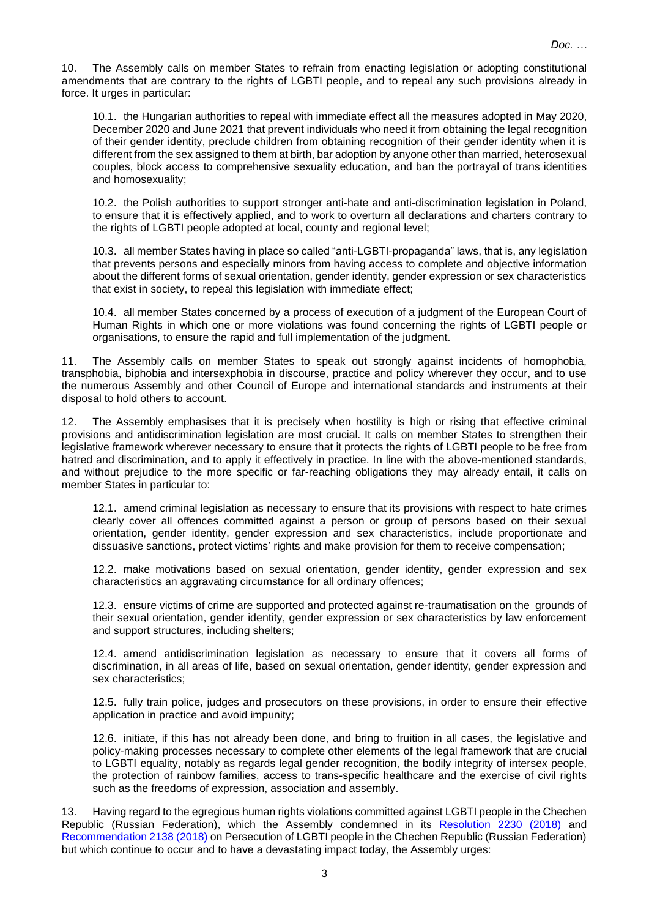10. The Assembly calls on member States to refrain from enacting legislation or adopting constitutional amendments that are contrary to the rights of LGBTI people, and to repeal any such provisions already in force. It urges in particular:

10.1. the Hungarian authorities to repeal with immediate effect all the measures adopted in May 2020, December 2020 and June 2021 that prevent individuals who need it from obtaining the legal recognition of their gender identity, preclude children from obtaining recognition of their gender identity when it is different from the sex assigned to them at birth, bar adoption by anyone other than married, heterosexual couples, block access to comprehensive sexuality education, and ban the portrayal of trans identities and homosexuality;

10.2. the Polish authorities to support stronger anti-hate and anti-discrimination legislation in Poland, to ensure that it is effectively applied, and to work to overturn all declarations and charters contrary to the rights of LGBTI people adopted at local, county and regional level;

10.3. all member States having in place so called "anti-LGBTI-propaganda" laws, that is, any legislation that prevents persons and especially minors from having access to complete and objective information about the different forms of sexual orientation, gender identity, gender expression or sex characteristics that exist in society, to repeal this legislation with immediate effect;

10.4. all member States concerned by a process of execution of a judgment of the European Court of Human Rights in which one or more violations was found concerning the rights of LGBTI people or organisations, to ensure the rapid and full implementation of the judgment.

11. The Assembly calls on member States to speak out strongly against incidents of homophobia, transphobia, biphobia and intersexphobia in discourse, practice and policy wherever they occur, and to use the numerous Assembly and other Council of Europe and international standards and instruments at their disposal to hold others to account.

12. The Assembly emphasises that it is precisely when hostility is high or rising that effective criminal provisions and antidiscrimination legislation are most crucial. It calls on member States to strengthen their legislative framework wherever necessary to ensure that it protects the rights of LGBTI people to be free from hatred and discrimination, and to apply it effectively in practice. In line with the above-mentioned standards, and without prejudice to the more specific or far-reaching obligations they may already entail, it calls on member States in particular to:

12.1. amend criminal legislation as necessary to ensure that its provisions with respect to hate crimes clearly cover all offences committed against a person or group of persons based on their sexual orientation, gender identity, gender expression and sex characteristics, include proportionate and dissuasive sanctions, protect victims' rights and make provision for them to receive compensation;

12.2. make motivations based on sexual orientation, gender identity, gender expression and sex characteristics an aggravating circumstance for all ordinary offences;

12.3. ensure victims of crime are supported and protected against re-traumatisation on the grounds of their sexual orientation, gender identity, gender expression or sex characteristics by law enforcement and support structures, including shelters;

12.4. amend antidiscrimination legislation as necessary to ensure that it covers all forms of discrimination, in all areas of life, based on sexual orientation, gender identity, gender expression and sex characteristics;

12.5. fully train police, judges and prosecutors on these provisions, in order to ensure their effective application in practice and avoid impunity;

12.6. initiate, if this has not already been done, and bring to fruition in all cases, the legislative and policy-making processes necessary to complete other elements of the legal framework that are crucial to LGBTI equality, notably as regards legal gender recognition, the bodily integrity of intersex people, the protection of rainbow families, access to trans-specific healthcare and the exercise of civil rights such as the freedoms of expression, association and assembly.

13. Having regard to the egregious human rights violations committed against LGBTI people in the Chechen Republic (Russian Federation), which the Assembly condemned in its [Resolution 2230 \(2018\)](https://pace.coe.int/en/files/24962) and [Recommendation 2138 \(2018\)](https://pace.coe.int/en/files/24963) on Persecution of LGBTI people in the Chechen Republic (Russian Federation) but which continue to occur and to have a devastating impact today, the Assembly urges: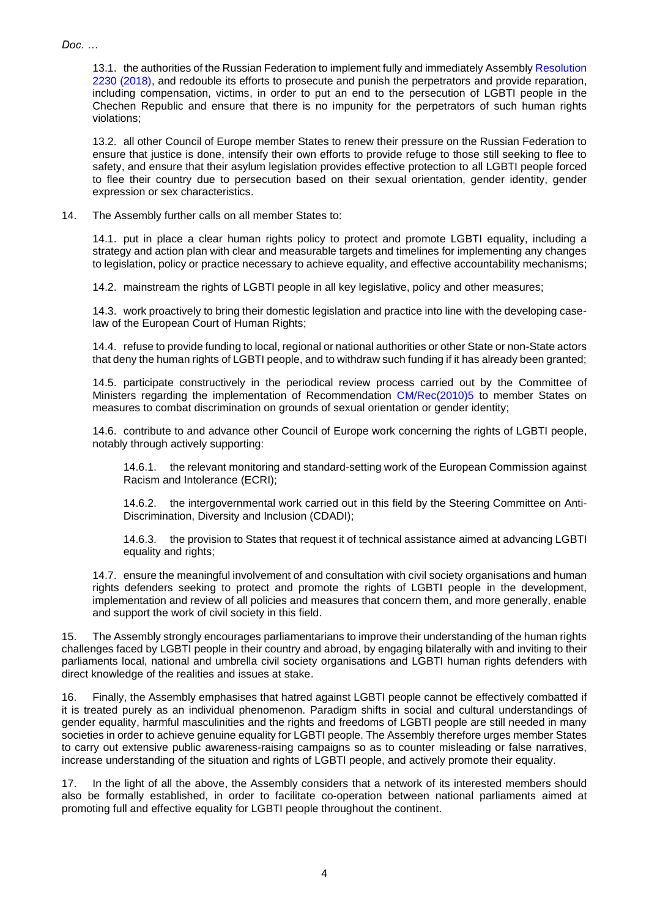13.1. the authorities of the Russian Federation to implement fully and immediately Assembly [Resolution](https://pace.coe.int/en/files/24962)  [2230 \(2018\),](https://pace.coe.int/en/files/24962) and redouble its efforts to prosecute and punish the perpetrators and provide reparation, including compensation, victims, in order to put an end to the persecution of LGBTI people in the Chechen Republic and ensure that there is no impunity for the perpetrators of such human rights violations;

13.2. all other Council of Europe member States to renew their pressure on the Russian Federation to ensure that justice is done, intensify their own efforts to provide refuge to those still seeking to flee to safety, and ensure that their asylum legislation provides effective protection to all LGBTI people forced to flee their country due to persecution based on their sexual orientation, gender identity, gender expression or sex characteristics.

14. The Assembly further calls on all member States to:

14.1. put in place a clear human rights policy to protect and promote LGBTI equality, including a strategy and action plan with clear and measurable targets and timelines for implementing any changes to legislation, policy or practice necessary to achieve equality, and effective accountability mechanisms;

14.2. mainstream the rights of LGBTI people in all key legislative, policy and other measures;

14.3. work proactively to bring their domestic legislation and practice into line with the developing caselaw of the European Court of Human Rights;

14.4. refuse to provide funding to local, regional or national authorities or other State or non-State actors that deny the human rights of LGBTI people, and to withdraw such funding if it has already been granted;

14.5. participate constructively in the periodical review process carried out by the Committee of Ministers regarding the implementation of Recommendation [CM/Rec\(2010\)5](https://search.coe.int/cm/Pages/result_details.aspx?ObjectID=09000016805cf40a) to member States on measures to combat discrimination on grounds of sexual orientation or gender identity;

14.6. contribute to and advance other Council of Europe work concerning the rights of LGBTI people, notably through actively supporting:

14.6.1. the relevant monitoring and standard-setting work of the European Commission against Racism and Intolerance (ECRI);

14.6.2. the intergovernmental work carried out in this field by the Steering Committee on Anti-Discrimination, Diversity and Inclusion (CDADI);

14.6.3. the provision to States that request it of technical assistance aimed at advancing LGBTI equality and rights;

14.7. ensure the meaningful involvement of and consultation with civil society organisations and human rights defenders seeking to protect and promote the rights of LGBTI people in the development, implementation and review of all policies and measures that concern them, and more generally, enable and support the work of civil society in this field.

15. The Assembly strongly encourages parliamentarians to improve their understanding of the human rights challenges faced by LGBTI people in their country and abroad, by engaging bilaterally with and inviting to their parliaments local, national and umbrella civil society organisations and LGBTI human rights defenders with direct knowledge of the realities and issues at stake.

16. Finally, the Assembly emphasises that hatred against LGBTI people cannot be effectively combatted if it is treated purely as an individual phenomenon. Paradigm shifts in social and cultural understandings of gender equality, harmful masculinities and the rights and freedoms of LGBTI people are still needed in many societies in order to achieve genuine equality for LGBTI people. The Assembly therefore urges member States to carry out extensive public awareness-raising campaigns so as to counter misleading or false narratives, increase understanding of the situation and rights of LGBTI people, and actively promote their equality.

17. In the light of all the above, the Assembly considers that a network of its interested members should also be formally established, in order to facilitate co-operation between national parliaments aimed at promoting full and effective equality for LGBTI people throughout the continent.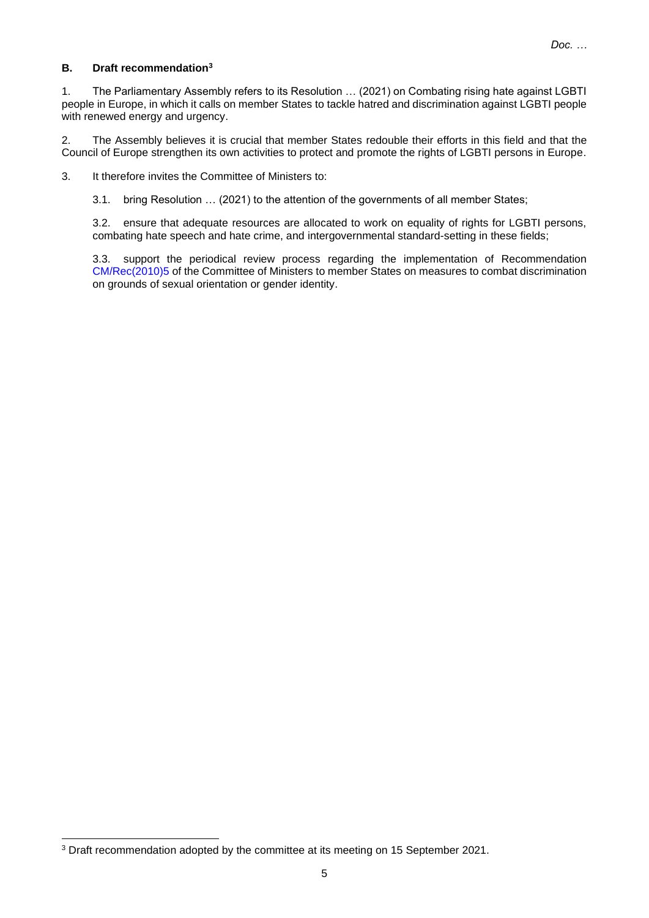## **B. Draft recommendation<sup>3</sup>**

1. The Parliamentary Assembly refers to its Resolution … (2021) on Combating rising hate against LGBTI people in Europe, in which it calls on member States to tackle hatred and discrimination against LGBTI people with renewed energy and urgency.

2. The Assembly believes it is crucial that member States redouble their efforts in this field and that the Council of Europe strengthen its own activities to protect and promote the rights of LGBTI persons in Europe.

3. It therefore invites the Committee of Ministers to:

3.1. bring Resolution … (2021) to the attention of the governments of all member States;

3.2. ensure that adequate resources are allocated to work on equality of rights for LGBTI persons, combating hate speech and hate crime, and intergovernmental standard-setting in these fields;

3.3. support the periodical review process regarding the implementation of Recommendation [CM/Rec\(2010\)5](https://search.coe.int/cm/Pages/result_details.aspx?ObjectID=09000016805cf40a) of the Committee of Ministers to member States on measures to combat discrimination on grounds of sexual orientation or gender identity.

<sup>3</sup> Draft recommendation adopted by the committee at its meeting on 15 September 2021.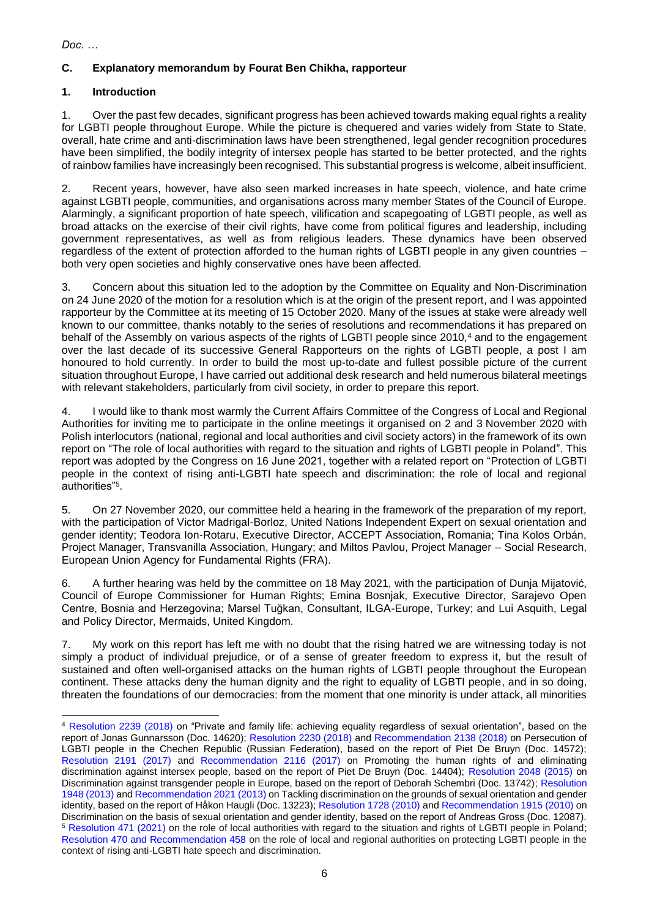## **C. Explanatory memorandum by Fourat Ben Chikha, rapporteur**

## **1. Introduction**

1. Over the past few decades, significant progress has been achieved towards making equal rights a reality for LGBTI people throughout Europe. While the picture is chequered and varies widely from State to State, overall, hate crime and anti-discrimination laws have been strengthened, legal gender recognition procedures have been simplified, the bodily integrity of intersex people has started to be better protected, and the rights of rainbow families have increasingly been recognised. This substantial progress is welcome, albeit insufficient.

2. Recent years, however, have also seen marked increases in hate speech, violence, and hate crime against LGBTI people, communities, and organisations across many member States of the Council of Europe. Alarmingly, a significant proportion of hate speech, vilification and scapegoating of LGBTI people, as well as broad attacks on the exercise of their civil rights, have come from political figures and leadership, including government representatives, as well as from religious leaders. These dynamics have been observed regardless of the extent of protection afforded to the human rights of LGBTI people in any given countries – both very open societies and highly conservative ones have been affected.

3. Concern about this situation led to the adoption by the Committee on Equality and Non-Discrimination on 24 June 2020 of the motion for a resolution which is at the origin of the present report, and I was appointed rapporteur by the Committee at its meeting of 15 October 2020. Many of the issues at stake were already well known to our committee, thanks notably to the series of resolutions and recommendations it has prepared on behalf of the Assembly on various aspects of the rights of LGBTI people since 2010,<sup>4</sup> and to the engagement over the last decade of its successive General Rapporteurs on the rights of LGBTI people, a post I am honoured to hold currently. In order to build the most up-to-date and fullest possible picture of the current situation throughout Europe, I have carried out additional desk research and held numerous bilateral meetings with relevant stakeholders, particularly from civil society, in order to prepare this report.

4. I would like to thank most warmly the Current Affairs Committee of the Congress of Local and Regional Authorities for inviting me to participate in the online meetings it organised on 2 and 3 November 2020 with Polish interlocutors (national, regional and local authorities and civil society actors) in the framework of its own report on "The role of local authorities with regard to the situation and rights of LGBTI people in Poland". This report was adopted by the Congress on 16 June 2021, together with a related report on "Protection of LGBTI people in the context of rising anti-LGBTI hate speech and discrimination: the role of local and regional authorities"<sup>5</sup> .

5. On 27 November 2020, our committee held a hearing in the framework of the preparation of my report, with the participation of Victor Madrigal-Borloz, United Nations Independent Expert on sexual orientation and gender identity; Teodora Ion-Rotaru, Executive Director, ACCEPT Association, Romania; Tina Kolos Orbán, Project Manager, Transvanilla Association, Hungary; and Miltos Pavlou, Project Manager – Social Research, European Union Agency for Fundamental Rights (FRA).

6. A further hearing was held by the committee on 18 May 2021, with the participation of Dunja Mijatović, Council of Europe Commissioner for Human Rights; Emina Bosnjak, Executive Director, Sarajevo Open Centre, Bosnia and Herzegovina; Marsel Tuğkan, Consultant, ILGA-Europe, Turkey; and Lui Asquith, Legal and Policy Director, Mermaids, United Kingdom.

7. My work on this report has left me with no doubt that the rising hatred we are witnessing today is not simply a product of individual prejudice, or of a sense of greater freedom to express it, but the result of sustained and often well-organised attacks on the human rights of LGBTI people throughout the European continent. These attacks deny the human dignity and the right to equality of LGBTI people, and in so doing, threaten the foundations of our democracies: from the moment that one minority is under attack, all minorities

<sup>4</sup> [Resolution 2239 \(2018\)](https://pace.coe.int/en/files/25166) on "Private and family life: achieving equality regardless of sexual orientation", based on the report of Jonas Gunnarsson (Doc. 14620); [Resolution 2230 \(2018\)](https://pace.coe.int/en/files/24962) and [Recommendation 2138 \(2018\)](https://pace.coe.int/en/files/24963) on Persecution of LGBTI people in the Chechen Republic (Russian Federation), based on the report of Piet De Bruyn (Doc. 14572); [Resolution 2191 \(2017\)](https://pace.coe.int/en/files/24232) and [Recommendation 2116 \(2017\)](https://pace.coe.int/en/files/24230) on Promoting the human rights of and eliminating discrimination against intersex people, based on the report of Piet De Bruyn (Doc. 14404); [Resolution 2048 \(2015\)](https://pace.coe.int/en/files/21736) on Discrimination against transgender people in Europe, based on the report of Deborah Schembri (Doc. 13742); [Resolution](https://pace.coe.int/en/files/20010)  [1948 \(2013\)](https://pace.coe.int/en/files/20010) and [Recommendation 2021 \(2013\)](https://pace.coe.int/en/files/20011) on Tackling discrimination on the grounds of sexual orientation and gender identity, based on the report of Håkon Haugli (Doc. 13223); [Resolution 1728 \(2010\)](https://pace.coe.int/en/files/17853) and [Recommendation 1915 \(2010\)](https://pace.coe.int/en/files/17854) on Discrimination on the basis of sexual orientation and gender identity, based on the report of Andreas Gross (Doc. 12087). <sup>5</sup> [Resolution 471 \(2021\)](https://rm.coe.int/CoERMPublicCommonSearchServices/DisplayDCTMContent?documentId=0900001680a287d7) on the role of local authorities with regard to the situation and rights of LGBTI people in Poland; [Resolution 470 and Recommendation 458](https://rm.coe.int/CoERMPublicCommonSearchServices/DisplayDCTMContent?documentId=0900001680a28860) on the role of local and regional authorities on protecting LGBTI people in the context of rising anti-LGBTI hate speech and discrimination.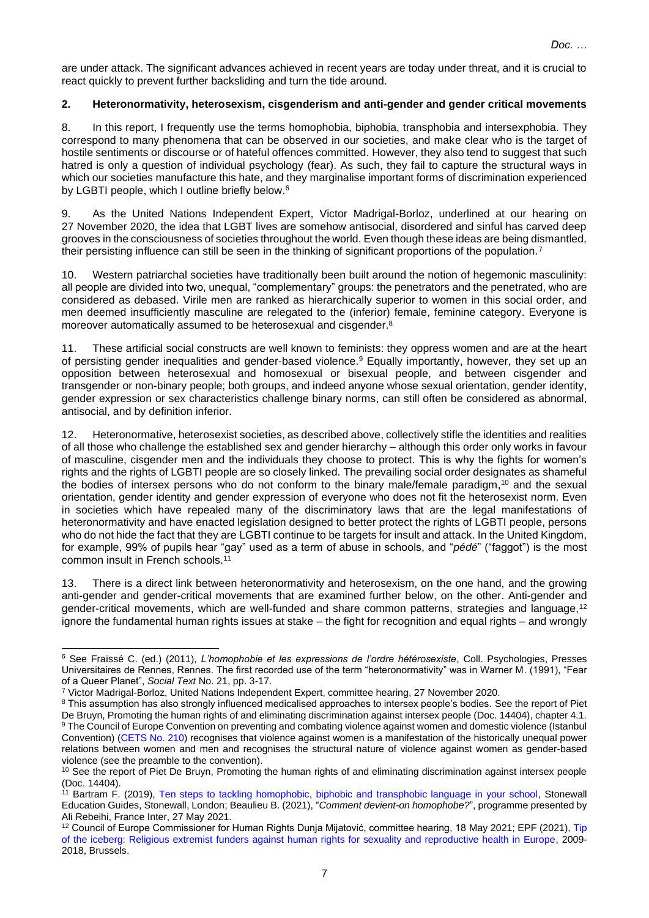are under attack. The significant advances achieved in recent years are today under threat, and it is crucial to react quickly to prevent further backsliding and turn the tide around.

#### **2. Heteronormativity, heterosexism, cisgenderism and anti-gender and gender critical movements**

8. In this report, I frequently use the terms homophobia, biphobia, transphobia and intersexphobia. They correspond to many phenomena that can be observed in our societies, and make clear who is the target of hostile sentiments or discourse or of hateful offences committed. However, they also tend to suggest that such hatred is only a question of individual psychology (fear). As such, they fail to capture the structural ways in which our societies manufacture this hate, and they marginalise important forms of discrimination experienced by LGBTI people, which I outline briefly below.<sup>6</sup>

9. As the United Nations Independent Expert, Victor Madrigal-Borloz, underlined at our hearing on 27 November 2020, the idea that LGBT lives are somehow antisocial, disordered and sinful has carved deep grooves in the consciousness of societies throughout the world. Even though these ideas are being dismantled, their persisting influence can still be seen in the thinking of significant proportions of the population.<sup>7</sup>

10. Western patriarchal societies have traditionally been built around the notion of hegemonic masculinity: all people are divided into two, unequal, "complementary" groups: the penetrators and the penetrated, who are considered as debased. Virile men are ranked as hierarchically superior to women in this social order, and men deemed insufficiently masculine are relegated to the (inferior) female, feminine category. Everyone is moreover automatically assumed to be heterosexual and cisgender.<sup>8</sup>

11. These artificial social constructs are well known to feminists: they oppress women and are at the heart of persisting gender inequalities and gender-based violence. <sup>9</sup> Equally importantly, however, they set up an opposition between heterosexual and homosexual or bisexual people, and between cisgender and transgender or non-binary people; both groups, and indeed anyone whose sexual orientation, gender identity, gender expression or sex characteristics challenge binary norms, can still often be considered as abnormal, antisocial, and by definition inferior.

12. Heteronormative, heterosexist societies, as described above, collectively stifle the identities and realities of all those who challenge the established sex and gender hierarchy – although this order only works in favour of masculine, cisgender men and the individuals they choose to protect. This is why the fights for women's rights and the rights of LGBTI people are so closely linked. The prevailing social order designates as shameful the bodies of intersex persons who do not conform to the binary male/female paradigm, <sup>10</sup> and the sexual orientation, gender identity and gender expression of everyone who does not fit the heterosexist norm. Even in societies which have repealed many of the discriminatory laws that are the legal manifestations of heteronormativity and have enacted legislation designed to better protect the rights of LGBTI people, persons who do not hide the fact that they are LGBTI continue to be targets for insult and attack. In the United Kingdom, for example, 99% of pupils hear "gay" used as a term of abuse in schools, and "*pédé*" ("faggot") is the most common insult in French schools.<sup>11</sup>

13. There is a direct link between heteronormativity and heterosexism, on the one hand, and the growing anti-gender and gender-critical movements that are examined further below, on the other. Anti-gender and gender-critical movements, which are well-funded and share common patterns, strategies and language,<sup>12</sup> ignore the fundamental human rights issues at stake – the fight for recognition and equal rights – and wrongly

<sup>6</sup> See Fraïssé C. (ed.) (2011), *L'homophobie et les expressions de l'ordre hétérosexiste*, Coll. Psychologies, Presses Universitaires de Rennes, Rennes. The first recorded use of the term "heteronormativity" was in Warner M. (1991), "Fear of a Queer Planet", *Social Text* No. 21, pp. 3-17.

<sup>7</sup> Victor Madrigal-Borloz, United Nations Independent Expert, committee hearing, 27 November 2020.

<sup>&</sup>lt;sup>8</sup> This assumption has also strongly influenced medicalised approaches to intersex people's bodies. See the report of Piet De Bruyn, Promoting the human rights of and eliminating discrimination against intersex people (Doc. 14404), chapter 4.1. <sup>9</sup> The Council of Europe Convention on preventing and combating violence against women and domestic violence (Istanbul Convention) [\(CETS No.](https://www.coe.int/en/web/conventions/full-list/-/conventions/rms/090000168008482e) 210) recognises that violence against women is a manifestation of the historically unequal power relations between women and men and recognises the structural nature of violence against women as gender-based violence (see the preamble to the convention).

<sup>&</sup>lt;sup>10</sup> See the report of Piet De Bruyn, Promoting the human rights of and eliminating discrimination against intersex people (Doc. 14404).

<sup>&</sup>lt;sup>11</sup> Bartram F. (2019), [Ten steps to tackling homophobic, biphobic and transphobic language in your school,](https://www.stonewall.org.uk/resources/ten-steps-tackling-homophobic-biphobic-and-transphobic-language-your-school) Stonewall Education Guides, Stonewall, London; Beaulieu B. (2021), "*Comment devient-on homophobe?*", programme presented by Ali Rebeihi, France Inter, 27 May 2021.

<sup>12</sup> Council of Europe Commissioner for Human Rights Dunja Mijatović, committee hearing, 18 May 2021; EPF (2021), [Tip](https://www.epfweb.org/sites/default/files/2021-06/Tip%20of%20the%20Iceberg%20June%202021%20Final.pdf)  [of the iceberg: Religious extremist funders against human rights for sexuality and reproductive health in Europe,](https://www.epfweb.org/sites/default/files/2021-06/Tip%20of%20the%20Iceberg%20June%202021%20Final.pdf) 2009- 2018, Brussels.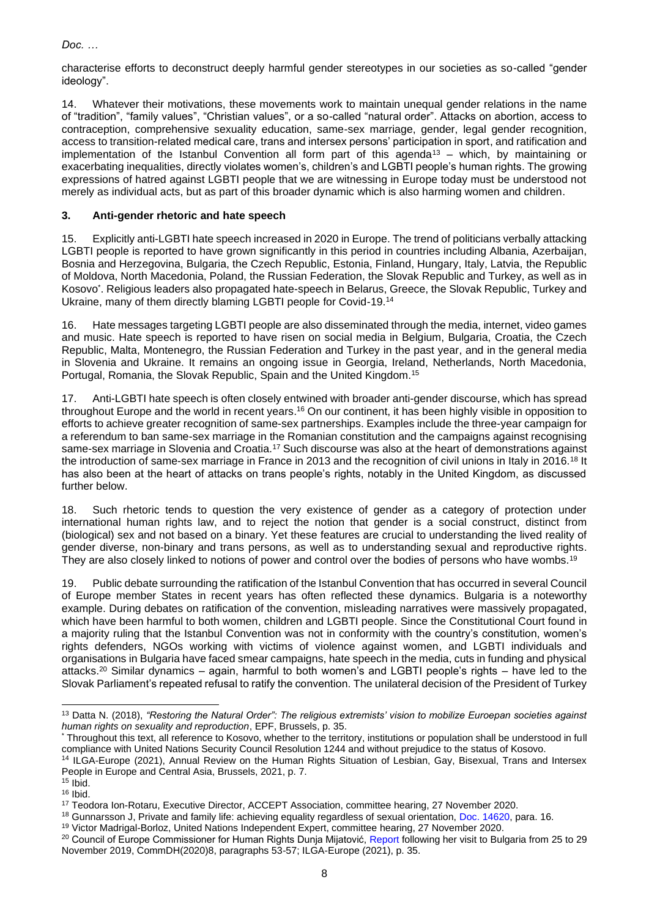characterise efforts to deconstruct deeply harmful gender stereotypes in our societies as so-called "gender ideology".

14. Whatever their motivations, these movements work to maintain unequal gender relations in the name of "tradition", "family values", "Christian values", or a so-called "natural order". Attacks on abortion, access to contraception, comprehensive sexuality education, same-sex marriage, gender, legal gender recognition, access to transition-related medical care, trans and intersex persons' participation in sport, and ratification and implementation of the Istanbul Convention all form part of this agenda<sup>13</sup> – which, by maintaining or exacerbating inequalities, directly violates women's, children's and LGBTI people's human rights. The growing expressions of hatred against LGBTI people that we are witnessing in Europe today must be understood not merely as individual acts, but as part of this broader dynamic which is also harming women and children.

# **3. Anti-gender rhetoric and hate speech**

15. Explicitly anti-LGBTI hate speech increased in 2020 in Europe. The trend of politicians verbally attacking LGBTI people is reported to have grown significantly in this period in countries including Albania, Azerbaijan, Bosnia and Herzegovina, Bulgaria, the Czech Republic, Estonia, Finland, Hungary, Italy, Latvia, the Republic of Moldova, North Macedonia, Poland, the Russian Federation, the Slovak Republic and Turkey, as well as in Kosovo\* . Religious leaders also propagated hate-speech in Belarus, Greece, the Slovak Republic, Turkey and Ukraine, many of them directly blaming LGBTI people for Covid-19.<sup>14</sup>

16. Hate messages targeting LGBTI people are also disseminated through the media, internet, video games and music. Hate speech is reported to have risen on social media in Belgium, Bulgaria, Croatia, the Czech Republic, Malta, Montenegro, the Russian Federation and Turkey in the past year, and in the general media in Slovenia and Ukraine. It remains an ongoing issue in Georgia, Ireland, Netherlands, North Macedonia, Portugal, Romania, the Slovak Republic, Spain and the United Kingdom. 15

17. Anti-LGBTI hate speech is often closely entwined with broader anti-gender discourse, which has spread throughout Europe and the world in recent years.<sup>16</sup> On our continent, it has been highly visible in opposition to efforts to achieve greater recognition of same-sex partnerships. Examples include the three-year campaign for a referendum to ban same-sex marriage in the Romanian constitution and the campaigns against recognising same-sex marriage in Slovenia and Croatia.<sup>17</sup> Such discourse was also at the heart of demonstrations against the introduction of same-sex marriage in France in 2013 and the recognition of civil unions in Italy in 2016.<sup>18</sup> It has also been at the heart of attacks on trans people's rights, notably in the United Kingdom, as discussed further below.

18. Such rhetoric tends to question the very existence of gender as a category of protection under international human rights law, and to reject the notion that gender is a social construct, distinct from (biological) sex and not based on a binary. Yet these features are crucial to understanding the lived reality of gender diverse, non-binary and trans persons, as well as to understanding sexual and reproductive rights. They are also closely linked to notions of power and control over the bodies of persons who have wombs.<sup>19</sup>

19. Public debate surrounding the ratification of the Istanbul Convention that has occurred in several Council of Europe member States in recent years has often reflected these dynamics. Bulgaria is a noteworthy example. During debates on ratification of the convention, misleading narratives were massively propagated, which have been harmful to both women, children and LGBTI people. Since the Constitutional Court found in a majority ruling that the Istanbul Convention was not in conformity with the country's constitution, women's rights defenders, NGOs working with victims of violence against women, and LGBTI individuals and organisations in Bulgaria have faced smear campaigns, hate speech in the media, cuts in funding and physical attacks.<sup>20</sup> Similar dynamics – again, harmful to both women's and LGBTI people's rights – have led to the Slovak Parliament's repeated refusal to ratify the convention. The unilateral decision of the President of Turkey

<sup>13</sup> Datta N. (2018), *"Restoring the Natural Order": The religious extremists' vision to mobilize Euroepan societies against human rights on sexuality and reproduction*, EPF, Brussels, p. 35.

<sup>\*</sup> Throughout this text, all reference to Kosovo, whether to the territory, institutions or population shall be understood in full compliance with United Nations Security Council Resolution 1244 and without prejudice to the status of Kosovo.

<sup>&</sup>lt;sup>14</sup> ILGA-Europe (2021), Annual Review on the Human Rights Situation of Lesbian, Gay, Bisexual, Trans and Intersex People in Europe and Central Asia, Brussels, 2021, p. 7.

 $15$  Ibid.  $16$  Ibid.

<sup>17</sup> Teodora Ion-Rotaru, Executive Director, ACCEPT Association, committee hearing, 27 November 2020.

<sup>18</sup> Gunnarsson J, Private and family life: achieving equality regardless of sexual orientation, Doc. [14620,](https://pace.coe.int/en/files/25048/html) para. 16.

<sup>19</sup> Victor Madrigal-Borloz, United Nations Independent Expert, committee hearing, 27 November 2020.

<sup>&</sup>lt;sup>20</sup> Council of Europe Commissioner for Human Rights Dunja Mijatović, [Report](https://rm.coe.int/report-on-the-visit-to-bulgaria-from-25-to-29-november-2019-by-dunja-m/16809cde16) following her visit to Bulgaria from 25 to 29 November 2019, CommDH(2020)8, paragraphs 53-57; ILGA-Europe (2021), p. 35.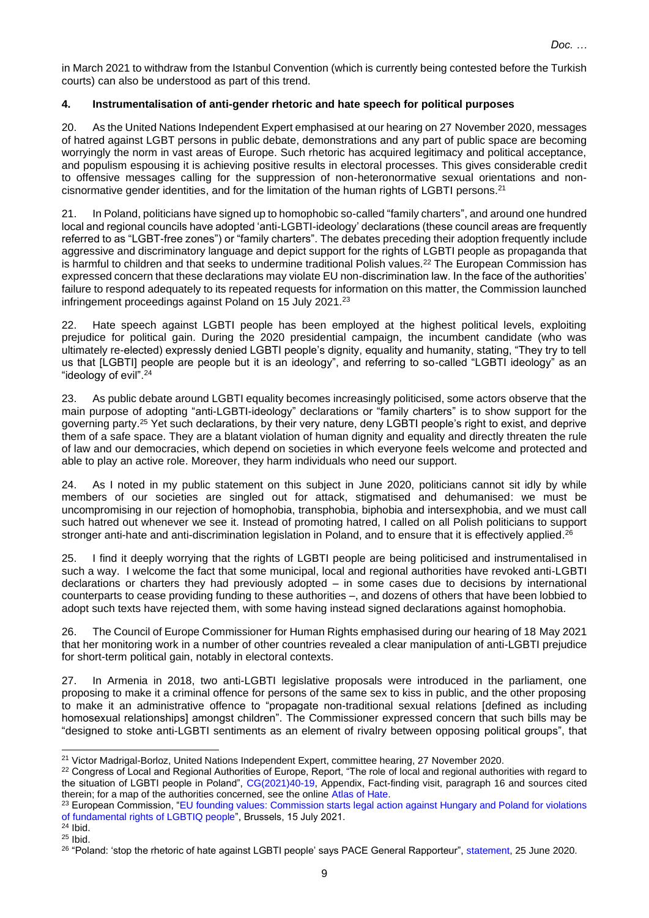in March 2021 to withdraw from the Istanbul Convention (which is currently being contested before the Turkish courts) can also be understood as part of this trend.

## **4. Instrumentalisation of anti-gender rhetoric and hate speech for political purposes**

20. As the United Nations Independent Expert emphasised at our hearing on 27 November 2020, messages of hatred against LGBT persons in public debate, demonstrations and any part of public space are becoming worryingly the norm in vast areas of Europe. Such rhetoric has acquired legitimacy and political acceptance, and populism espousing it is achieving positive results in electoral processes. This gives considerable credit to offensive messages calling for the suppression of non-heteronormative sexual orientations and noncisnormative gender identities, and for the limitation of the human rights of LGBTI persons.<sup>21</sup>

21. In Poland, politicians have signed up to homophobic so-called "family charters", and around one hundred local and regional councils have adopted 'anti-LGBTI-ideology' declarations (these council areas are frequently referred to as "LGBT-free zones") or "family charters". The debates preceding their adoption frequently include aggressive and discriminatory language and depict support for the rights of LGBTI people as propaganda that is harmful to children and that seeks to undermine traditional Polish values.<sup>22</sup> The European Commission has expressed concern that these declarations may violate EU non-discrimination law. In the face of the authorities' failure to respond adequately to its repeated requests for information on this matter, the Commission launched infringement proceedings against Poland on 15 July 2021. 23

22. Hate speech against LGBTI people has been employed at the highest political levels, exploiting prejudice for political gain. During the 2020 presidential campaign, the incumbent candidate (who was ultimately re-elected) expressly denied LGBTI people's dignity, equality and humanity, stating, "They try to tell us that [LGBTI] people are people but it is an ideology", and referring to so-called "LGBTI ideology" as an "ideology of evil".<sup>24</sup>

23. As public debate around LGBTI equality becomes increasingly politicised, some actors observe that the main purpose of adopting "anti-LGBTI-ideology" declarations or "family charters" is to show support for the governing party.<sup>25</sup> Yet such declarations, by their very nature, deny LGBTI people's right to exist, and deprive them of a safe space. They are a blatant violation of human dignity and equality and directly threaten the rule of law and our democracies, which depend on societies in which everyone feels welcome and protected and able to play an active role. Moreover, they harm individuals who need our support.

24. As I noted in my public statement on this subject in June 2020, politicians cannot sit idly by while members of our societies are singled out for attack, stigmatised and dehumanised: we must be uncompromising in our rejection of homophobia, transphobia, biphobia and intersexphobia, and we must call such hatred out whenever we see it. Instead of promoting hatred, I called on all Polish politicians to support stronger anti-hate and anti-discrimination legislation in Poland, and to ensure that it is effectively applied.<sup>26</sup>

25. I find it deeply worrying that the rights of LGBTI people are being politicised and instrumentalised in such a way. I welcome the fact that some municipal, local and regional authorities have revoked anti-LGBTI declarations or charters they had previously adopted – in some cases due to decisions by international counterparts to cease providing funding to these authorities –, and dozens of others that have been lobbied to adopt such texts have rejected them, with some having instead signed declarations against homophobia.

26. The Council of Europe Commissioner for Human Rights emphasised during our hearing of 18 May 2021 that her monitoring work in a number of other countries revealed a clear manipulation of anti-LGBTI prejudice for short-term political gain, notably in electoral contexts.

27. In Armenia in 2018, two anti-LGBTI legislative proposals were introduced in the parliament, one proposing to make it a criminal offence for persons of the same sex to kiss in public, and the other proposing to make it an administrative offence to "propagate non-traditional sexual relations [defined as including homosexual relationships] amongst children". The Commissioner expressed concern that such bills may be "designed to stoke anti-LGBTI sentiments as an element of rivalry between opposing political groups", that

<sup>21</sup> Victor Madrigal-Borloz, United Nations Independent Expert, committee hearing, 27 November 2020.

<sup>&</sup>lt;sup>22</sup> Congress of Local and Regional Authorities of Europe, Report, "The role of local and regional authorities with regard to the situation of LGBTI people in Poland", [CG\(2021\)40-19,](https://search.coe.int/congress/pages/result_details.aspx?objectid=0900001680a287d7) Appendix, Fact-finding visit, paragraph 16 and sources cited therein; for a map of the authorities concerned, see the online [Atlas of Hate.](https://atlasnienawisci.pl/)

<sup>&</sup>lt;sup>23</sup> European Commission, "EU founding values: Commission starts legal action against Hungary and Poland for violations [of fundamental rights of LGBTIQ people"](https://ec.europa.eu/commission/presscorner/detail/en/ip_21_3668), Brussels, 15 July 2021.

 $24$  Ibid.

 $25$  Ibid.

<sup>&</sup>lt;sup>26</sup> "Poland: 'stop the rhetoric of hate against LGBTI people' says PACE General Rapporteur", [statement,](https://pace.coe.int/en/news/7934/poland-stop-the-rhetoric-of-hate-against-lgbti-people-says-pace-general-rapporteur) 25 June 2020.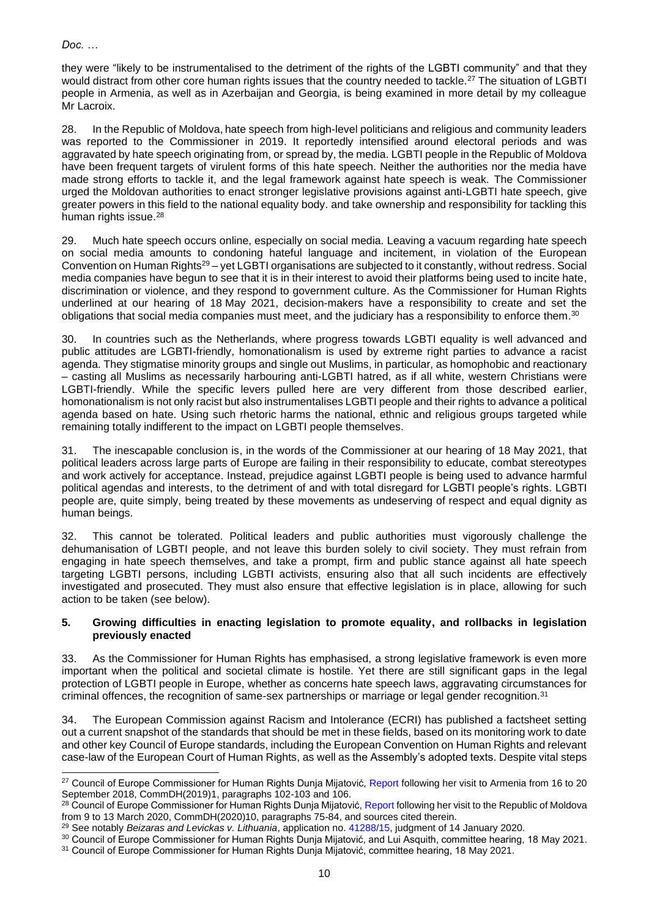they were "likely to be instrumentalised to the detriment of the rights of the LGBTI community" and that they would distract from other core human rights issues that the country needed to tackle.<sup>27</sup> The situation of LGBTI people in Armenia, as well as in Azerbaijan and Georgia, is being examined in more detail by my colleague Mr Lacroix.

28. In the Republic of Moldova, hate speech from high-level politicians and religious and community leaders was reported to the Commissioner in 2019. It reportedly intensified around electoral periods and was aggravated by hate speech originating from, or spread by, the media. LGBTI people in the Republic of Moldova have been frequent targets of virulent forms of this hate speech. Neither the authorities nor the media have made strong efforts to tackle it, and the legal framework against hate speech is weak. The Commissioner urged the Moldovan authorities to enact stronger legislative provisions against anti-LGBTI hate speech, give greater powers in this field to the national equality body. and take ownership and responsibility for tackling this human rights issue.<sup>28</sup>

29. Much hate speech occurs online, especially on social media. Leaving a vacuum regarding hate speech on social media amounts to condoning hateful language and incitement, in violation of the European Convention on Human Rights<sup>29</sup> – yet LGBTI organisations are subjected to it constantly, without redress. Social media companies have begun to see that it is in their interest to avoid their platforms being used to incite hate, discrimination or violence, and they respond to government culture. As the Commissioner for Human Rights underlined at our hearing of 18 May 2021, decision-makers have a responsibility to create and set the obligations that social media companies must meet, and the judiciary has a responsibility to enforce them.<sup>30</sup>

30. In countries such as the Netherlands, where progress towards LGBTI equality is well advanced and public attitudes are LGBTI-friendly, homonationalism is used by extreme right parties to advance a racist agenda. They stigmatise minority groups and single out Muslims, in particular, as homophobic and reactionary – casting all Muslims as necessarily harbouring anti-LGBTI hatred, as if all white, western Christians were LGBTI-friendly. While the specific levers pulled here are very different from those described earlier, homonationalism is not only racist but also instrumentalises LGBTI people and their rights to advance a political agenda based on hate. Using such rhetoric harms the national, ethnic and religious groups targeted while remaining totally indifferent to the impact on LGBTI people themselves.

31. The inescapable conclusion is, in the words of the Commissioner at our hearing of 18 May 2021, that political leaders across large parts of Europe are failing in their responsibility to educate, combat stereotypes and work actively for acceptance. Instead, prejudice against LGBTI people is being used to advance harmful political agendas and interests, to the detriment of and with total disregard for LGBTI people's rights. LGBTI people are, quite simply, being treated by these movements as undeserving of respect and equal dignity as human beings.

32. This cannot be tolerated. Political leaders and public authorities must vigorously challenge the dehumanisation of LGBTI people, and not leave this burden solely to civil society. They must refrain from engaging in hate speech themselves, and take a prompt, firm and public stance against all hate speech targeting LGBTI persons, including LGBTI activists, ensuring also that all such incidents are effectively investigated and prosecuted. They must also ensure that effective legislation is in place, allowing for such action to be taken (see below).

## **5. Growing difficulties in enacting legislation to promote equality, and rollbacks in legislation previously enacted**

33. As the Commissioner for Human Rights has emphasised, a strong legislative framework is even more important when the political and societal climate is hostile. Yet there are still significant gaps in the legal protection of LGBTI people in Europe, whether as concerns hate speech laws, aggravating circumstances for criminal offences, the recognition of same-sex partnerships or marriage or legal gender recognition.<sup>31</sup>

34. The European Commission against Racism and Intolerance (ECRI) has published a factsheet setting out a current snapshot of the standards that should be met in these fields, based on its monitoring work to date and other key Council of Europe standards, including the European Convention on Human Rights and relevant case-law of the European Court of Human Rights, as well as the Assembly's adopted texts. Despite vital steps

<sup>&</sup>lt;sup>27</sup> Council of Europe Commissioner for Human Rights Dunja Mijatović, [Report](https://rm.coe.int/report-on-the-visit-to-armenia-from-16-to-20-september-2018-by-dunja-m/168091f9d5) following her visit to Armenia from 16 to 20 September 2018, CommDH(2019)1, paragraphs 102-103 and 106.

<sup>&</sup>lt;sup>28</sup> Council of Europe Commissioner for Human Rights Dunja Mijatović[, Report](https://rm.coe.int/report-on-the-visit-to-moldova-from-9-to-13-march-2020-by-dunja-mijato/16809ed0e4) following her visit to the Republic of Moldova from 9 to 13 March 2020, CommDH(2020)10, paragraphs 75-84, and sources cited therein.

<sup>29</sup> See notably *Beizaras and Levickas v. Lithuania*, application no. [41288/15,](https://hudoc.echr.coe.int/eng#{%22appno%22:[%2241288/15%22]}) judgment of 14 January 2020.

<sup>30</sup> Council of Europe Commissioner for Human Rights Dunja Mijatović, and Lui Asquith, committee hearing, 18 May 2021.

<sup>31</sup> Council of Europe Commissioner for Human Rights Dunja Mijatović, committee hearing, 18 May 2021.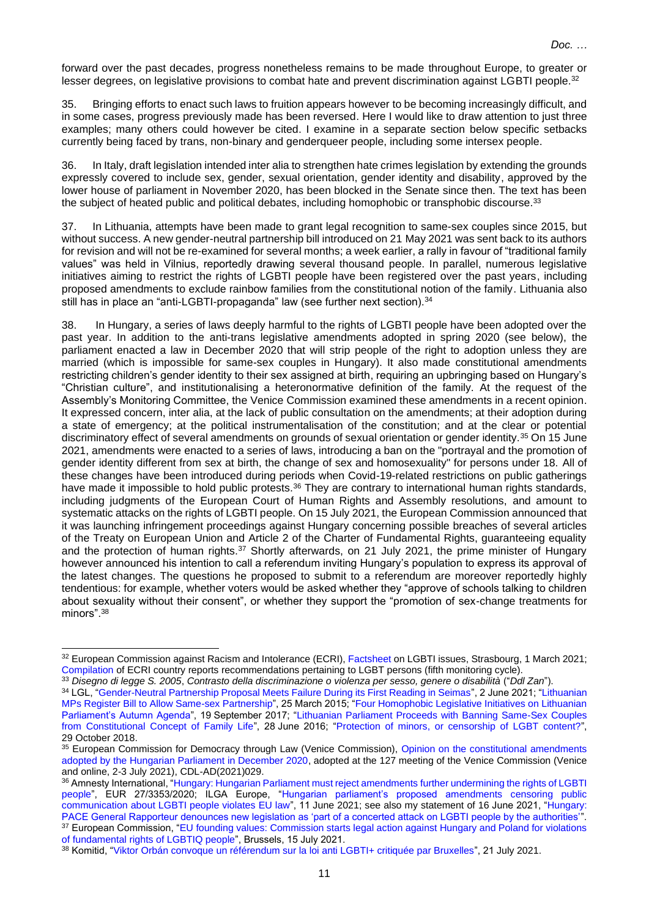forward over the past decades, progress nonetheless remains to be made throughout Europe, to greater or lesser degrees, on legislative provisions to combat hate and prevent discrimination against LGBTI people.<sup>32</sup>

35. Bringing efforts to enact such laws to fruition appears however to be becoming increasingly difficult, and in some cases, progress previously made has been reversed. Here I would like to draw attention to just three examples; many others could however be cited. I examine in a separate section below specific setbacks currently being faced by trans, non-binary and genderqueer people, including some intersex people.

36. In Italy, draft legislation intended inter alia to strengthen hate crimes legislation by extending the grounds expressly covered to include sex, gender, sexual orientation, gender identity and disability, approved by the lower house of parliament in November 2020, has been blocked in the Senate since then. The text has been the subject of heated public and political debates, including homophobic or transphobic discourse.<sup>33</sup>

37. In Lithuania, attempts have been made to grant legal recognition to same-sex couples since 2015, but without success. A new gender-neutral partnership bill introduced on 21 May 2021 was sent back to its authors for revision and will not be re-examined for several months; a week earlier, a rally in favour of "traditional family values" was held in Vilnius, reportedly drawing several thousand people. In parallel, numerous legislative initiatives aiming to restrict the rights of LGBTI people have been registered over the past years, including proposed amendments to exclude rainbow families from the constitutional notion of the family. Lithuania also still has in place an "anti-LGBTI-propaganda" law (see further next section).<sup>34</sup>

38. In Hungary, a series of laws deeply harmful to the rights of LGBTI people have been adopted over the past year. In addition to the anti-trans legislative amendments adopted in spring 2020 (see below), the parliament enacted a law in December 2020 that will strip people of the right to adoption unless they are married (which is impossible for same-sex couples in Hungary). It also made constitutional amendments restricting children's gender identity to their sex assigned at birth, requiring an upbringing based on Hungary's "Christian culture", and institutionalising a heteronormative definition of the family. At the request of the Assembly's Monitoring Committee, the Venice Commission examined these amendments in a recent opinion. It expressed concern, inter alia, at the lack of public consultation on the amendments; at their adoption during a state of emergency; at the political instrumentalisation of the constitution; and at the clear or potential discriminatory effect of several amendments on grounds of sexual orientation or gender identity.<sup>35</sup> On 15 June 2021, amendments were enacted to a series of laws, introducing a ban on the "portrayal and the promotion of gender identity different from sex at birth, the change of sex and homosexuality" for persons under 18. All of these changes have been introduced during periods when Covid-19-related restrictions on public gatherings have made it impossible to hold public protests.<sup>36</sup> They are contrary to international human rights standards, including judgments of the European Court of Human Rights and Assembly resolutions, and amount to systematic attacks on the rights of LGBTI people. On 15 July 2021, the European Commission announced that it was launching infringement proceedings against Hungary concerning possible breaches of several articles of the Treaty on European Union and Article 2 of the Charter of Fundamental Rights, guaranteeing equality and the protection of human rights.<sup>37</sup> Shortly afterwards, on 21 July 2021, the prime minister of Hungary however announced his intention to call a referendum inviting Hungary's population to express its approval of the latest changes. The questions he proposed to submit to a referendum are moreover reportedly highly tendentious: for example, whether voters would be asked whether they "approve of schools talking to children about sexuality without their consent", or whether they support the "promotion of sex-change treatments for minors".<sup>38</sup>

<sup>&</sup>lt;sup>32</sup> European Commission against Racism and Intolerance (ECRI)[, Factsheet](https://www.coe.int/en/web/european-commission-against-racism-and-intolerance/factsheet-lgbti) on LGBTI issues, Strasbourg, 1 March 2021; [Compilation](https://rm.coe.int/5th-cycle-ecri-recommendations-on-lgbt-issues/16809e7b66) of ECRI country reports recommendations pertaining to LGBT persons (fifth monitoring cycle).

<sup>33</sup> *Disegno di legge S. 2005*, *Contrasto della discriminazione o violenza per sesso, genere o disabilità* ("*Ddl Zan*").

<sup>&</sup>lt;sup>34</sup> LGL, ["Gender-Neutral Partnership Proposal Meets Failure During its First Reading in Seimas"](https://www.lgl.lt/en/?p=24059), 2 June 2021; "Lithuanian [MPs Register Bill to Allow Same-sex Partnership"](https://www.lgl.lt/en/?p=8936), 25 March 2015; ["Four Homophobic Legislative Initiatives on Lithuanian](https://www.lgl.lt/en/?p=18335)  [Parliament's Autumn Agenda"](https://www.lgl.lt/en/?p=18335), 19 September 2017; ["Lithuanian Parliament Proceeds with Banning Same-Sex Couples](https://www.lgl.lt/en/?p=14084)  [from Constitutional Concept of Family Life"](https://www.lgl.lt/en/?p=14084), 28 June 2016; ["Protection of minors, or censorship of LGBT content?"](https://www.lgl.lt/en/?p=20809), 29 October 2018.

<sup>35</sup> European Commission for Democracy through Law (Venice Commission), Opinion on the constitutional amendments [adopted by the Hungarian Parliament in December 2020,](https://venice.coe.int/webforms/documents/?pdf=CDL-AD(2021)029-e) adopted at the 127 meeting of the Venice Commission (Venice and online, 2-3 July 2021), CDL-AD(2021)029.

<sup>36</sup> Amnesty International, ["Hungary: Hungarian Parliament must reject amendments](https://www.amnesty.org/en/documents/eur27/3353/2020/en/) further undermining the rights of LGBTI [people"](https://www.amnesty.org/en/documents/eur27/3353/2020/en/), EUR 27/3353/2020; ILGA Europe, ["Hungarian parliament's proposed amendments censoring public](https://ilga-europe.org/resources/news/latest-news/hungarian-parliaments-proposed-amendments-censoring-public-communication)  [communication about LGBTI people violates EU law"](https://ilga-europe.org/resources/news/latest-news/hungarian-parliaments-proposed-amendments-censoring-public-communication), 11 June 2021; see also my statement of 16 June 2021, "Hungary: [PACE General Rapporteur denounces new legislation as 'part of a concerted attack on LGBTI people by the authorities'"](https://pace.coe.int/en/news/8351/hungary-pace-general-rapporteur-denounces-new-legislation-as-part-of-a-concerted-attack-on-lgbti-people-by-the-authorities-). 37 European Commission, "EU founding values: Commission starts legal action against Hungary and Poland for violations [of fundamental rights of LGBTIQ people"](https://ec.europa.eu/commission/presscorner/detail/en/ip_21_3668), Brussels, 15 July 2021.

<sup>38</sup> Komitid, ["Viktor Orbán convoque un référendum sur la loi anti LGBTI+ critiquée par Bruxelles"](https://www.komitid.fr/2021/07/21/viktor-orban-convoque-un-referendum-sur-la-loi-anti-lgbt-critiquee-par-bruxelles/), 21 July 2021.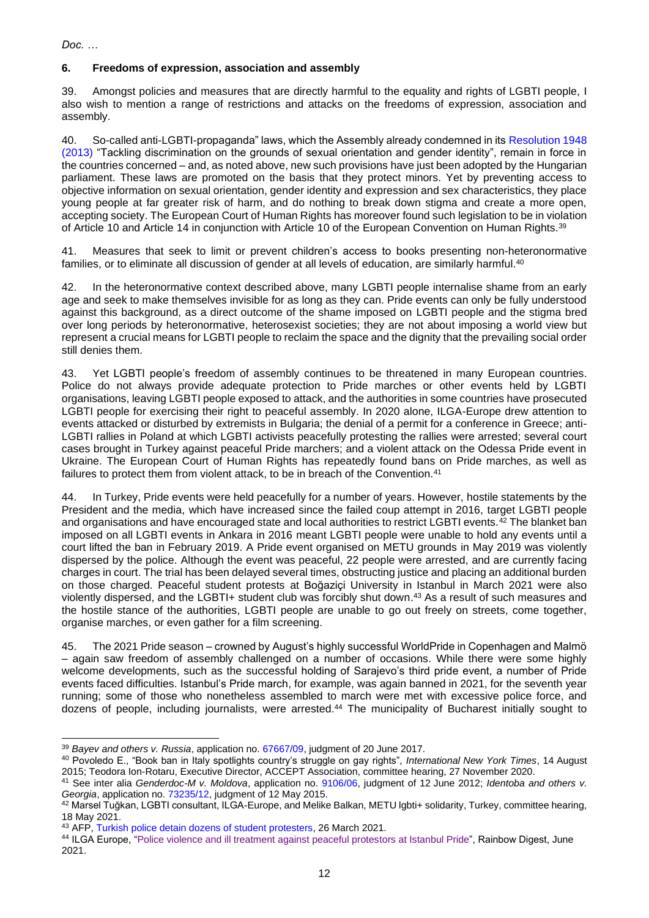## **6. Freedoms of expression, association and assembly**

39. Amongst policies and measures that are directly harmful to the equality and rights of LGBTI people, I also wish to mention a range of restrictions and attacks on the freedoms of expression, association and assembly.

40. So-called anti-LGBTI-propaganda" laws, which the Assembly already condemned in its [Resolution 1948](https://pace.coe.int/en/files/20010)  [\(2013\)](https://pace.coe.int/en/files/20010) "Tackling discrimination on the grounds of sexual orientation and gender identity", remain in force in the countries concerned – and, as noted above, new such provisions have just been adopted by the Hungarian parliament. These laws are promoted on the basis that they protect minors. Yet by preventing access to objective information on sexual orientation, gender identity and expression and sex characteristics, they place young people at far greater risk of harm, and do nothing to break down stigma and create a more open, accepting society. The European Court of Human Rights has moreover found such legislation to be in violation of Article 10 and Article 14 in conjunction with Article 10 of the European Convention on Human Rights.<sup>39</sup>

41. Measures that seek to limit or prevent children's access to books presenting non-heteronormative families, or to eliminate all discussion of gender at all levels of education, are similarly harmful. 40

42. In the heteronormative context described above, many LGBTI people internalise shame from an early age and seek to make themselves invisible for as long as they can. Pride events can only be fully understood against this background, as a direct outcome of the shame imposed on LGBTI people and the stigma bred over long periods by heteronormative, heterosexist societies; they are not about imposing a world view but represent a crucial means for LGBTI people to reclaim the space and the dignity that the prevailing social order still denies them.

43. Yet LGBTI people's freedom of assembly continues to be threatened in many European countries. Police do not always provide adequate protection to Pride marches or other events held by LGBTI organisations, leaving LGBTI people exposed to attack, and the authorities in some countries have prosecuted LGBTI people for exercising their right to peaceful assembly. In 2020 alone, ILGA-Europe drew attention to events attacked or disturbed by extremists in Bulgaria; the denial of a permit for a conference in Greece; anti-LGBTI rallies in Poland at which LGBTI activists peacefully protesting the rallies were arrested; several court cases brought in Turkey against peaceful Pride marchers; and a violent attack on the Odessa Pride event in Ukraine. The European Court of Human Rights has repeatedly found bans on Pride marches, as well as failures to protect them from violent attack, to be in breach of the Convention.<sup>41</sup>

44. In Turkey, Pride events were held peacefully for a number of years. However, hostile statements by the President and the media, which have increased since the failed coup attempt in 2016, target LGBTI people and organisations and have encouraged state and local authorities to restrict LGBTI events.<sup>42</sup> The blanket ban imposed on all LGBTI events in Ankara in 2016 meant LGBTI people were unable to hold any events until a court lifted the ban in February 2019. A Pride event organised on METU grounds in May 2019 was violently dispersed by the police. Although the event was peaceful, 22 people were arrested, and are currently facing charges in court. The trial has been delayed several times, obstructing justice and placing an additional burden on those charged. Peaceful student protests at Boğaziçi University in Istanbul in March 2021 were also violently dispersed, and the LGBTI+ student club was forcibly shut down. <sup>43</sup> As a result of such measures and the hostile stance of the authorities, LGBTI people are unable to go out freely on streets, come together, organise marches, or even gather for a film screening.

45. The 2021 Pride season – crowned by August's highly successful WorldPride in Copenhagen and Malmö – again saw freedom of assembly challenged on a number of occasions. While there were some highly welcome developments, such as the successful holding of Sarajevo's third pride event, a number of Pride events faced difficulties. Istanbul's Pride march, for example, was again banned in 2021, for the seventh year running; some of those who nonetheless assembled to march were met with excessive police force, and dozens of people, including journalists, were arrested.<sup>44</sup> The municipality of Bucharest initially sought to

<sup>39</sup> *Bayev and others v. Russia*, application no. [67667/09,](https://hudoc.echr.coe.int/eng#{%22itemid%22:[%22001-174422%22]}) judgment of 20 June 2017.

<sup>40</sup> Povoledo E., "Book ban in Italy spotlights country's struggle on gay rights", *International New York Times*, 14 August 2015; Teodora Ion-Rotaru, Executive Director, ACCEPT Association, committee hearing, 27 November 2020.

<sup>41</sup> See inter alia *Genderdoc-M v. Moldova*, application no. [9106/06,](https://hudoc.echr.coe.int/eng#{%22itemid%22:[%22001-111394%22]}) judgment of 12 June 2012; *Identoba and others v. Georgia*, application no. [73235/12,](https://hudoc.echr.coe.int/eng#{%22docname%22:[%22identoba%22],%22documentcollectionid2%22:[%22GRANDCHAMBER%22,%22CHAMBER%22],%22itemid%22:[%22001-154400%22]}) judgment of 12 May 2015.

<sup>42</sup> Marsel Tuğkan, LGBTI consultant, ILGA-Europe, and Melike Balkan, METU lgbti+ solidarity, Turkey, committee hearing, 18 May 2021.

<sup>43</sup> AFP, [Turkish police detain dozens of student protesters,](https://www.france24.com/en/live-news/20210326-turkish-police-detain-dozens-of-student-protesters) 26 March 2021.

<sup>44</sup> ILGA Europe, ["Police violence and ill treatment against peaceful protestors at Istanbul Pride"](https://ilga-europe.org/resources/rainbow-digest/june-2021#Freedom%20of%20assembly), Rainbow Digest, June 2021.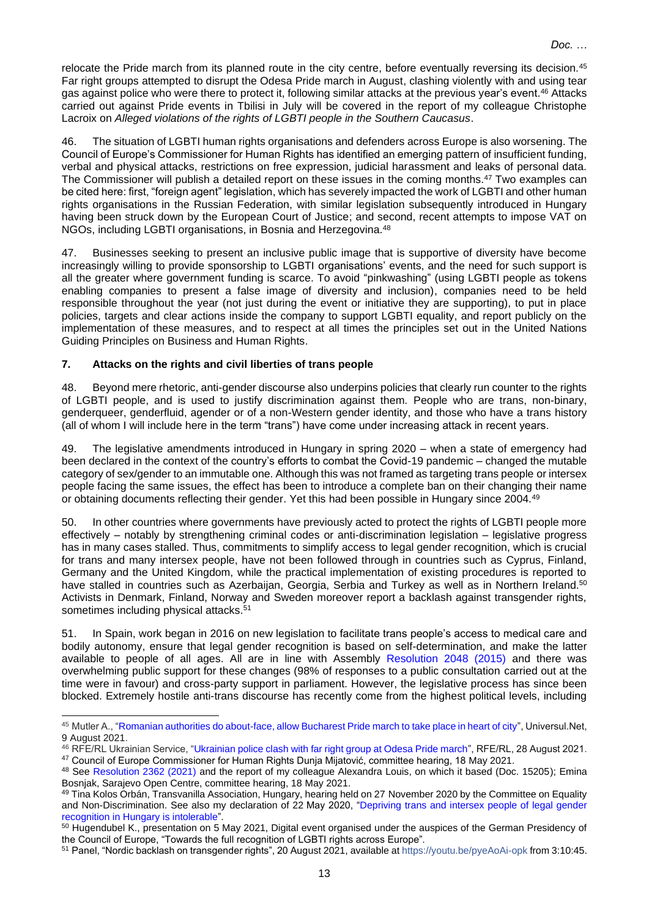relocate the Pride march from its planned route in the city centre, before eventually reversing its decision.<sup>45</sup> Far right groups attempted to disrupt the Odesa Pride march in August, clashing violently with and using tear gas against police who were there to protect it, following similar attacks at the previous year's event.<sup>46</sup> Attacks carried out against Pride events in Tbilisi in July will be covered in the report of my colleague Christophe Lacroix on *Alleged violations of the rights of LGBTI people in the Southern Caucasus*.

46. The situation of LGBTI human rights organisations and defenders across Europe is also worsening. The Council of Europe's Commissioner for Human Rights has identified an emerging pattern of insufficient funding, verbal and physical attacks, restrictions on free expression, judicial harassment and leaks of personal data. The Commissioner will publish a detailed report on these issues in the coming months.<sup>47</sup> Two examples can be cited here: first, "foreign agent" legislation, which has severely impacted the work of LGBTI and other human rights organisations in the Russian Federation, with similar legislation subsequently introduced in Hungary having been struck down by the European Court of Justice; and second, recent attempts to impose VAT on NGOs, including LGBTI organisations, in Bosnia and Herzegovina.<sup>48</sup>

47. Businesses seeking to present an inclusive public image that is supportive of diversity have become increasingly willing to provide sponsorship to LGBTI organisations' events, and the need for such support is all the greater where government funding is scarce. To avoid "pinkwashing" (using LGBTI people as tokens enabling companies to present a false image of diversity and inclusion), companies need to be held responsible throughout the year (not just during the event or initiative they are supporting), to put in place policies, targets and clear actions inside the company to support LGBTI equality, and report publicly on the implementation of these measures, and to respect at all times the principles set out in the United Nations Guiding Principles on Business and Human Rights.

## **7. Attacks on the rights and civil liberties of trans people**

48. Beyond mere rhetoric, anti-gender discourse also underpins policies that clearly run counter to the rights of LGBTI people, and is used to justify discrimination against them. People who are trans, non-binary, genderqueer, genderfluid, agender or of a non-Western gender identity, and those who have a trans history (all of whom I will include here in the term "trans") have come under increasing attack in recent years.

49. The legislative amendments introduced in Hungary in spring 2020 – when a state of emergency had been declared in the context of the country's efforts to combat the Covid-19 pandemic – changed the mutable category of sex/gender to an immutable one. Although this was not framed as targeting trans people or intersex people facing the same issues, the effect has been to introduce a complete ban on their changing their name or obtaining documents reflecting their gender. Yet this had been possible in Hungary since 2004.<sup>49</sup>

50. In other countries where governments have previously acted to protect the rights of LGBTI people more effectively – notably by strengthening criminal codes or anti-discrimination legislation – legislative progress has in many cases stalled. Thus, commitments to simplify access to legal gender recognition, which is crucial for trans and many intersex people, have not been followed through in countries such as Cyprus, Finland, Germany and the United Kingdom, while the practical implementation of existing procedures is reported to have stalled in countries such as Azerbaijan, Georgia, Serbia and Turkey as well as in Northern Ireland.<sup>50</sup> Activists in Denmark, Finland, Norway and Sweden moreover report a backlash against transgender rights, sometimes including physical attacks.<sup>51</sup>

51. In Spain, work began in 2016 on new legislation to facilitate trans people's access to medical care and bodily autonomy, ensure that legal gender recognition is based on self-determination, and make the latter available to people of all ages. All are in line with Assembly [Resolution 2048 \(2015\)](https://pace.coe.int/en/files/21736) and there was overwhelming public support for these changes (98% of responses to a public consultation carried out at the time were in favour) and cross-party support in parliament. However, the legislative process has since been blocked. Extremely hostile anti-trans discourse has recently come from the highest political levels, including

<sup>45</sup> Mutler A., ["Romanian authorities do about-face, allow Bucharest Pride march to take place in heart of city"](https://universul.net/romanian-authorities-do-about-face-allow-bucharest-pride-march-to-take-place-in-heart-of-city/), Universul.Net, 9 August 2021.

<sup>46</sup> RFE/RL Ukrainian Service, ["Ukrainian police clash with far right group at Odesa Pride march"](https://www.rferl.org/a/ukraine-pride-lgbt-odesa-/31432989.html), RFE/RL, 28 August 2021. <sup>47</sup> Council of Europe Commissioner for Human Rights Dunja Mijatović, committee hearing, 18 May 2021.

<sup>&</sup>lt;sup>48</sup> See [Resolution 2362 \(2021\)](https://pace.coe.int/en/files/29020) and the report of my colleague Alexandra Louis, on which it based (Doc. 15205); Emina Bosnjak, Sarajevo Open Centre, committee hearing, 18 May 2021.

<sup>49</sup> Tina Kolos Orbán, Transvanilla Association, Hungary, hearing held on 27 November 2020 by the Committee on Equality and Non-Discrimination. See also my declaration of 22 May 2020, ["Depriving trans and intersex people of legal gender](https://pace.coe.int/en/news/7900/-priver-les-personnes-trans-et-intersexes-en-hongrie-de-la-reconnaissance-juridique-de-leur-genre-est-intolerable-declare-un-rapporteur-general)  recognition [in Hungary is intolerable"](https://pace.coe.int/en/news/7900/-priver-les-personnes-trans-et-intersexes-en-hongrie-de-la-reconnaissance-juridique-de-leur-genre-est-intolerable-declare-un-rapporteur-general).

<sup>&</sup>lt;sup>50</sup> Hugendubel K., presentation on 5 May 2021, Digital event organised under the auspices of the German Presidency of the Council of Europe, "Towards the full recognition of LGBTI rights across Europe".

<sup>51</sup> Panel, "Nordic backlash on transgender rights", 20 August 2021, available a[t https://youtu.be/pyeAoAi-opk](https://youtu.be/pyeAoAi-opk) from 3:10:45.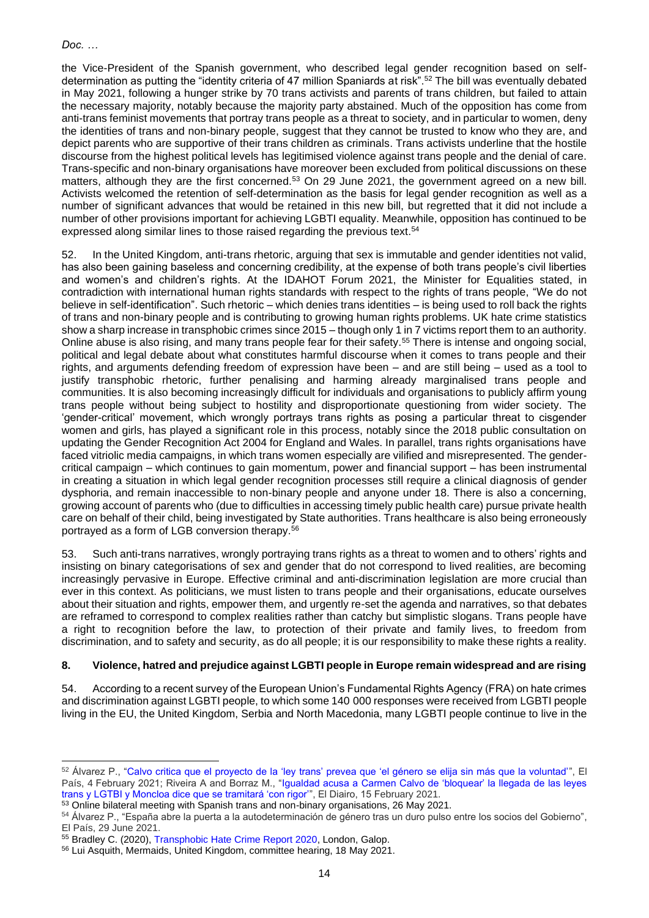the Vice-President of the Spanish government, who described legal gender recognition based on selfdetermination as putting the "identity criteria of 47 million Spaniards at risk".<sup>52</sup> The bill was eventually debated in May 2021, following a hunger strike by 70 trans activists and parents of trans children, but failed to attain the necessary majority, notably because the majority party abstained. Much of the opposition has come from anti-trans feminist movements that portray trans people as a threat to society, and in particular to women, deny the identities of trans and non-binary people, suggest that they cannot be trusted to know who they are, and depict parents who are supportive of their trans children as criminals. Trans activists underline that the hostile discourse from the highest political levels has legitimised violence against trans people and the denial of care. Trans-specific and non-binary organisations have moreover been excluded from political discussions on these matters, although they are the first concerned.<sup>53</sup> On 29 June 2021, the government agreed on a new bill. Activists welcomed the retention of self-determination as the basis for legal gender recognition as well as a number of significant advances that would be retained in this new bill, but regretted that it did not include a number of other provisions important for achieving LGBTI equality. Meanwhile, opposition has continued to be expressed along similar lines to those raised regarding the previous text.<sup>54</sup>

52. In the United Kingdom, anti-trans rhetoric, arguing that sex is immutable and gender identities not valid, has also been gaining baseless and concerning credibility, at the expense of both trans people's civil liberties and women's and children's rights. At the IDAHOT Forum 2021, the Minister for Equalities stated, in contradiction with international human rights standards with respect to the rights of trans people, "We do not believe in self-identification". Such rhetoric – which denies trans identities – is being used to roll back the rights of trans and non-binary people and is contributing to growing human rights problems. UK hate crime statistics show a sharp increase in transphobic crimes since 2015 – though only 1 in 7 victims report them to an authority. Online abuse is also rising, and many trans people fear for their safety.<sup>55</sup> There is intense and ongoing social, political and legal debate about what constitutes harmful discourse when it comes to trans people and their rights, and arguments defending freedom of expression have been – and are still being – used as a tool to justify transphobic rhetoric, further penalising and harming already marginalised trans people and communities. It is also becoming increasingly difficult for individuals and organisations to publicly affirm young trans people without being subject to hostility and disproportionate questioning from wider society. The 'gender-critical' movement, which wrongly portrays trans rights as posing a particular threat to cisgender women and girls, has played a significant role in this process, notably since the 2018 public consultation on updating the Gender Recognition Act 2004 for England and Wales. In parallel, trans rights organisations have faced vitriolic media campaigns, in which trans women especially are vilified and misrepresented. The gendercritical campaign – which continues to gain momentum, power and financial support – has been instrumental in creating a situation in which legal gender recognition processes still require a clinical diagnosis of gender dysphoria, and remain inaccessible to non-binary people and anyone under 18. There is also a concerning, growing account of parents who (due to difficulties in accessing timely public health care) pursue private health care on behalf of their child, being investigated by State authorities. Trans healthcare is also being erroneously portrayed as a form of LGB conversion therapy.<sup>56</sup>

Such anti-trans narratives, wrongly portraying trans rights as a threat to women and to others' rights and insisting on binary categorisations of sex and gender that do not correspond to lived realities, are becoming increasingly pervasive in Europe. Effective criminal and anti-discrimination legislation are more crucial than ever in this context. As politicians, we must listen to trans people and their organisations, educate ourselves about their situation and rights, empower them, and urgently re-set the agenda and narratives, so that debates are reframed to correspond to complex realities rather than catchy but simplistic slogans. Trans people have a right to recognition before the law, to protection of their private and family lives, to freedom from discrimination, and to safety and security, as do all people; it is our responsibility to make these rights a reality.

#### **8. Violence, hatred and prejudice against LGBTI people in Europe remain widespread and are rising**

54. According to a recent survey of the European Union's Fundamental Rights Agency (FRA) on hate crimes and discrimination against LGBTI people, to which some 140 000 responses were received from LGBTI people living in the EU, the United Kingdom, Serbia and North Macedonia, many LGBTI people continue to live in the

<sup>52</sup> Álvarez P., ["Calvo critica que el proyecto de la 'ley trans' prevea que 'el género se elija sin más que la voluntad'"](https://elpais.com/sociedad/2021-02-04/calvo-sobre-la-ley-trans-que-el-genero-se-elija-sin-mas-que-la-voluntad-pone-en-riesgo-los-criterios-de-identidad-del-resto.html), El País, 4 February 2021; Riveira A and Borraz M., ["Igualdad acusa a Carmen Calvo de 'bloquear' la llegada de las leyes](https://www.eldiario.es/politica/igualdad-acusa-carmen-calvo-bloquear-llegada-leyes-trans-lgtbi-consejo-ministros_1_7222250.html)  [trans y LGTBI y Moncloa dice que se tramitará 'con rigor'"](https://www.eldiario.es/politica/igualdad-acusa-carmen-calvo-bloquear-llegada-leyes-trans-lgtbi-consejo-ministros_1_7222250.html), El Diairo, 15 February 2021.

<sup>53</sup> Online bilateral meeting with Spanish trans and non-binary organisations, 26 May 2021.

<sup>54</sup> Álvarez P., ["España abre la puerta a la autodeterminación de género tras un duro pulso entre los socios del Gobierno",](https://elpais.com/sociedad/2021-06-29/espana-sera-el-decimosexto-pais-del-mundo-en-permitir-la-autodeterminacion-de-genero.html) El País, 29 June 2021.

<sup>55</sup> Bradley C. (2020), [Transphobic Hate Crime Report 2020,](http://www.galop.org.uk/transphobic-hate-crime-report-2020/) London, Galop. <sup>56</sup> Lui Asquith, Mermaids, United Kingdom, committee hearing, 18 May 2021.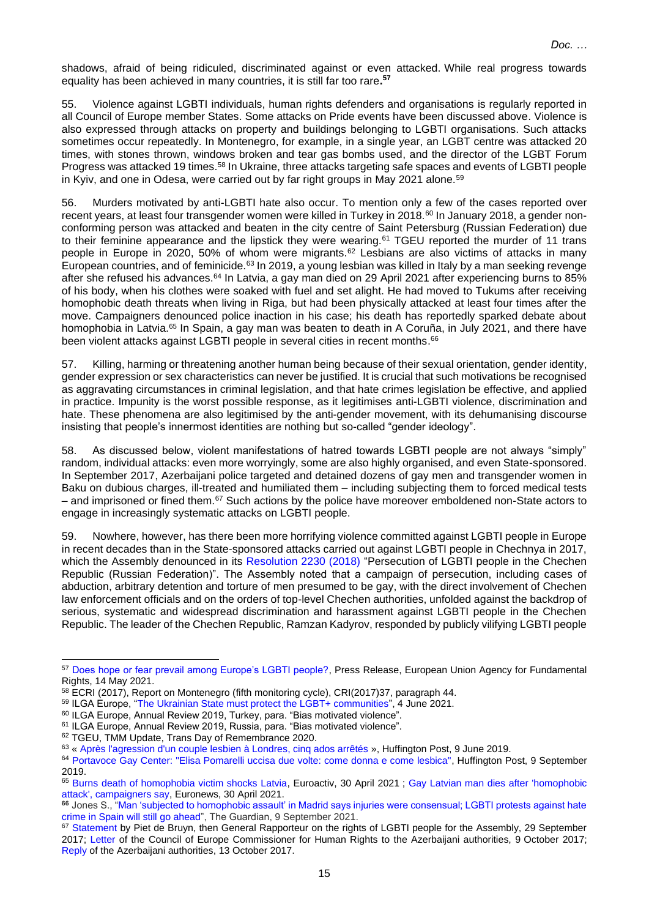shadows, afraid of being ridiculed, discriminated against or even attacked. While real progress towards equality has been achieved in many countries, it is still far too rare**. 57**

55. Violence against LGBTI individuals, human rights defenders and organisations is regularly reported in all Council of Europe member States. Some attacks on Pride events have been discussed above. Violence is also expressed through attacks on property and buildings belonging to LGBTI organisations. Such attacks sometimes occur repeatedly. In Montenegro, for example, in a single year, an LGBT centre was attacked 20 times, with stones thrown, windows broken and tear gas bombs used, and the director of the LGBT Forum Progress was attacked 19 times.<sup>58</sup> In Ukraine, three attacks targeting safe spaces and events of LGBTI people in Kyiv, and one in Odesa, were carried out by far right groups in May 2021 alone.<sup>59</sup>

56. Murders motivated by anti-LGBTI hate also occur. To mention only a few of the cases reported over recent years, at least four transgender women were killed in Turkey in 2018.<sup>60</sup> In January 2018, a gender nonconforming person was attacked and beaten in the city centre of Saint Petersburg (Russian Federation) due to their feminine appearance and the lipstick they were wearing.<sup>61</sup> TGEU reported the murder of 11 trans people in Europe in 2020, 50% of whom were migrants.<sup>62</sup> Lesbians are also victims of attacks in many European countries, and of feminicide.<sup>63</sup> In 2019, a young lesbian was killed in Italy by a man seeking revenge after she refused his advances.<sup>64</sup> In Latvia, a gay man died on 29 April 2021 after experiencing burns to 85% of his body, when his clothes were soaked with fuel and set alight. He had moved to Tukums after receiving homophobic death threats when living in Riga, but had been physically attacked at least four times after the move. Campaigners denounced police inaction in his case; his death has reportedly sparked debate about homophobia in Latvia.<sup>65</sup> In Spain, a gay man was beaten to death in A Coruña, in July 2021, and there have been violent attacks against LGBTI people in several cities in recent months.<sup>66</sup>

57. Killing, harming or threatening another human being because of their sexual orientation, gender identity, gender expression or sex characteristics can never be justified. It is crucial that such motivations be recognised as aggravating circumstances in criminal legislation, and that hate crimes legislation be effective, and applied in practice. Impunity is the worst possible response, as it legitimises anti-LGBTI violence, discrimination and hate. These phenomena are also legitimised by the anti-gender movement, with its dehumanising discourse insisting that people's innermost identities are nothing but so-called "gender ideology".

58. As discussed below, violent manifestations of hatred towards LGBTI people are not always "simply" random, individual attacks: even more worryingly, some are also highly organised, and even State-sponsored. In September 2017, Azerbaijani police targeted and detained dozens of gay men and transgender women in Baku on dubious charges, ill-treated and humiliated them – including subjecting them to forced medical tests – and imprisoned or fined them.<sup>67</sup> Such actions by the police have moreover emboldened non-State actors to engage in increasingly systematic attacks on LGBTI people.

59. Nowhere, however, has there been more horrifying violence committed against LGBTI people in Europe in recent decades than in the State-sponsored attacks carried out against LGBTI people in Chechnya in 2017, which the Assembly denounced in its [Resolution 2230 \(2018\)](https://pace.coe.int/en/files/24962) "Persecution of LGBTI people in the Chechen Republic (Russian Federation)". The Assembly noted that a campaign of persecution, including cases of abduction, arbitrary detention and torture of men presumed to be gay, with the direct involvement of Chechen law enforcement officials and on the orders of top-level Chechen authorities, unfolded against the backdrop of serious, systematic and widespread discrimination and harassment against LGBTI people in the Chechen Republic. The leader of the Chechen Republic, Ramzan Kadyrov, responded by publicly vilifying LGBTI people

- <sup>60</sup> ILGA Europe, Annual Review 2019, Turkey, para. "Bias motivated violence".
- <sup>61</sup> ILGA Europe, Annual Review 2019, Russia, para. "Bias motivated violence".

<sup>57</sup> [Does hope or fear prevail among Europe's LGBTI people?,](https://fra.europa.eu/en/news/2020/does-hope-or-fear-prevail-among-europes-lgbti-people) Press Release, European Union Agency for Fundamental Rights, 14 May 2021.

<sup>58</sup> ECRI (2017), Report on Montenegro (fifth monitoring cycle), CRI(2017)37, paragraph 44.

<sup>59</sup> ILGA Europe, ["The Ukrainian State must protect the LGBT+ communities"](https://ilga-europe.org/resources/news/latest-news/ukrainian-state-must-protect-lgbt-communities), 4 June 2021.

<sup>62</sup> TGEU, TMM Update, Trans Day of Remembrance 2020.

<sup>63</sup> « [Après l'agression d'un couple lesbien à Londres, cinq ados arrêtés](https://www.huffingtonpost.fr/entry/apres-lagression-dun-couple-lesbien-a-londres-cinq-ados-arretes_fr_5cfba29ee4b04e90f1c9f87a) », Huffington Post, 9 June 2019.

<sup>64</sup> [Portavoce Gay Center: "Elisa Pomarelli uccisa due volte: come donna e come lesbica",](https://www.huffingtonpost.it/entry/portavoce-gay-center-elisa-pomarelli-uccisa-due-volte-come-donna-e-come-lesbica_it_5d750e0be4b06451356fe384) Huffington Post, 9 September 2019.

<sup>&</sup>lt;sup>65</sup> [Burns death of homophobia victim shocks Latvia,](https://www.euractiv.com/section/non-discrimination/news/burns-death-of-homophobia-victim-shocks-latvia/) Euroactiv, 30 April 2021 ; Gay Latvian man dies after 'homophobic [attack', campaigners say,](https://www.euronews.com/2021/04/30/gay-latvian-man-dies-after-homophobic-attack-campaigners-say) Euronews, 30 April 2021.

**<sup>66</sup>** Jones S., ["Man 'subjected to homophobic assault' in Madrid says injuries were consensual; LGBTI protests against hate](https://www.theguardian.com/world/2021/sep/08/man-subjected-to-homophobic-assault-in-madrid-says-injuries-were-consensual)  [crime in Spain will still go ahead"](https://www.theguardian.com/world/2021/sep/08/man-subjected-to-homophobic-assault-in-madrid-says-injuries-were-consensual), The Guardian, 9 September 2021.

<sup>&</sup>lt;sup>67</sup> [Statement](https://pace.coe.int/en/news/6795/police-harassment-of-gay-men-and-transgender-women-in-azerbaijan-must-stop) by Piet de Bruyn, then General Rapporteur on the rights of LGBTI people for the Assembly, 29 September 2017; [Letter](http://rm.coe.int/letter-to-the-minister-of-interior-of-azerbaijan-concerning-recent-arr/168075de36) of the Council of Europe Commissioner for Human Rights to the Azerbaijani authorities, 9 October 2017; [Reply](http://rm.coe.int/reply-of-te-minister-of-internal-affairs-of-azerbaijan-concerning-arre/168075e7d0) of the Azerbaijani authorities, 13 October 2017.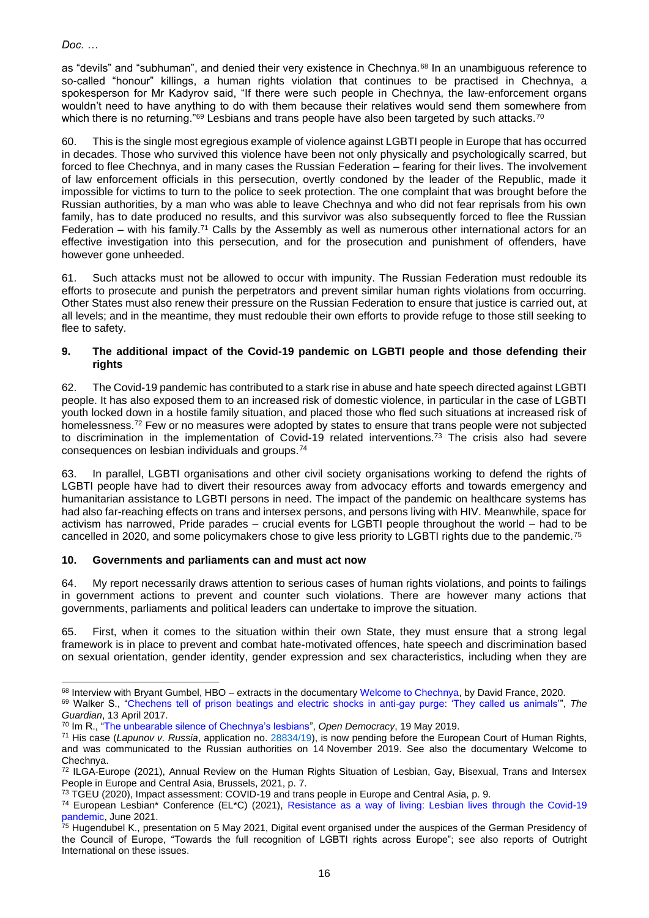as "devils" and "subhuman", and denied their very existence in Chechnya.<sup>68</sup> In an unambiguous reference to so-called "honour" killings, a human rights violation that continues to be practised in Chechnya, a spokesperson for Mr Kadyrov said, "If there were such people in Chechnya, the law-enforcement organs wouldn't need to have anything to do with them because their relatives would send them somewhere from which there is no returning."<sup>69</sup> Lesbians and trans people have also been targeted by such attacks.<sup>70</sup>

60. This is the single most egregious example of violence against LGBTI people in Europe that has occurred in decades. Those who survived this violence have been not only physically and psychologically scarred, but forced to flee Chechnya, and in many cases the Russian Federation – fearing for their lives. The involvement of law enforcement officials in this persecution, overtly condoned by the leader of the Republic, made it impossible for victims to turn to the police to seek protection. The one complaint that was brought before the Russian authorities, by a man who was able to leave Chechnya and who did not fear reprisals from his own family, has to date produced no results, and this survivor was also subsequently forced to flee the Russian Federation – with his family.<sup>71</sup> Calls by the Assembly as well as numerous other international actors for an effective investigation into this persecution, and for the prosecution and punishment of offenders, have however gone unheeded.

61. Such attacks must not be allowed to occur with impunity. The Russian Federation must redouble its efforts to prosecute and punish the perpetrators and prevent similar human rights violations from occurring. Other States must also renew their pressure on the Russian Federation to ensure that justice is carried out, at all levels; and in the meantime, they must redouble their own efforts to provide refuge to those still seeking to flee to safety.

#### **9. The additional impact of the Covid-19 pandemic on LGBTI people and those defending their rights**

62. The Covid-19 pandemic has contributed to a stark rise in abuse and hate speech directed against LGBTI people. It has also exposed them to an increased risk of domestic violence, in particular in the case of LGBTI youth locked down in a hostile family situation, and placed those who fled such situations at increased risk of homelessness.<sup>72</sup> Few or no measures were adopted by states to ensure that trans people were not subjected to discrimination in the implementation of Covid-19 related interventions.<sup>73</sup> The crisis also had severe consequences on lesbian individuals and groups.<sup>74</sup>

63. In parallel, LGBTI organisations and other civil society organisations working to defend the rights of LGBTI people have had to divert their resources away from advocacy efforts and towards emergency and humanitarian assistance to LGBTI persons in need. The impact of the pandemic on healthcare systems has had also far-reaching effects on trans and intersex persons, and persons living with HIV. Meanwhile, space for activism has narrowed, Pride parades – crucial events for LGBTI people throughout the world – had to be cancelled in 2020, and some policymakers chose to give less priority to LGBTI rights due to the pandemic.<sup>75</sup>

## **10. Governments and parliaments can and must act now**

64. My report necessarily draws attention to serious cases of human rights violations, and points to failings in government actions to prevent and counter such violations. There are however many actions that governments, parliaments and political leaders can undertake to improve the situation.

65. First, when it comes to the situation within their own State, they must ensure that a strong legal framework is in place to prevent and combat hate-motivated offences, hate speech and discrimination based on sexual orientation, gender identity, gender expression and sex characteristics, including when they are

<sup>68</sup> Interview with Bryant Gumbel, HBO – extracts in the documentary [Welcome to Chechnya,](https://www.sundance.org/projects/welcome-to-chechnya) by David France, 2020.

<sup>69</sup> Walker S., ["Chechens tell of prison beatings and electric shocks in anti-gay purge: 'They called us animals'"](https://www.theguardian.com/world/2017/apr/13/they-called-us-animals-chechens-prison-beatings-electric-shocks-anti-gay-purge), *The Guardian*, 13 April 2017.

<sup>70</sup> Im R., ["The unbearable silence of Chechnya's lesbians"](https://www.opendemocracy.net/en/odr/the-unbearable-silence-of-chechnyas-lesbians/), *Open Democracy*, 19 May 2019.

<sup>71</sup> His case (*Lapunov v. Russia*, application no. [28834/19\)](https://hudoc.echr.coe.int/eng#{%22appno%22:[%2228834/19%22]}), is now pending before the European Court of Human Rights, and was communicated to the Russian authorities on 14 November 2019. See also the documentary Welcome to Chechnya.

<sup>72</sup> ILGA-Europe (2021), Annual Review on the Human Rights Situation of Lesbian, Gay, Bisexual, Trans and Intersex People in Europe and Central Asia, Brussels, 2021, p. 7.

<sup>&</sup>lt;sup>73</sup> TGEU (2020), Impact assessment: COVID-19 and trans people in Europe and Central Asia, p. 9.

<sup>74</sup> European Lesbian\* Conference (EL\*C) (2021), [Resistance as a way of living: Lesbian lives through the Covid-19](https://europeanlesbianconference.org/resistance-as-a-way-of-living-lesbian-lives-through-the-covid-19-pandemic/)  [pandemic,](https://europeanlesbianconference.org/resistance-as-a-way-of-living-lesbian-lives-through-the-covid-19-pandemic/) June 2021.

<sup>75</sup> Hugendubel K., presentation on 5 May 2021, Digital event organised under the auspices of the German Presidency of the Council of Europe, "Towards the full recognition of LGBTI rights across Europe"; see also reports of Outright International on these issues.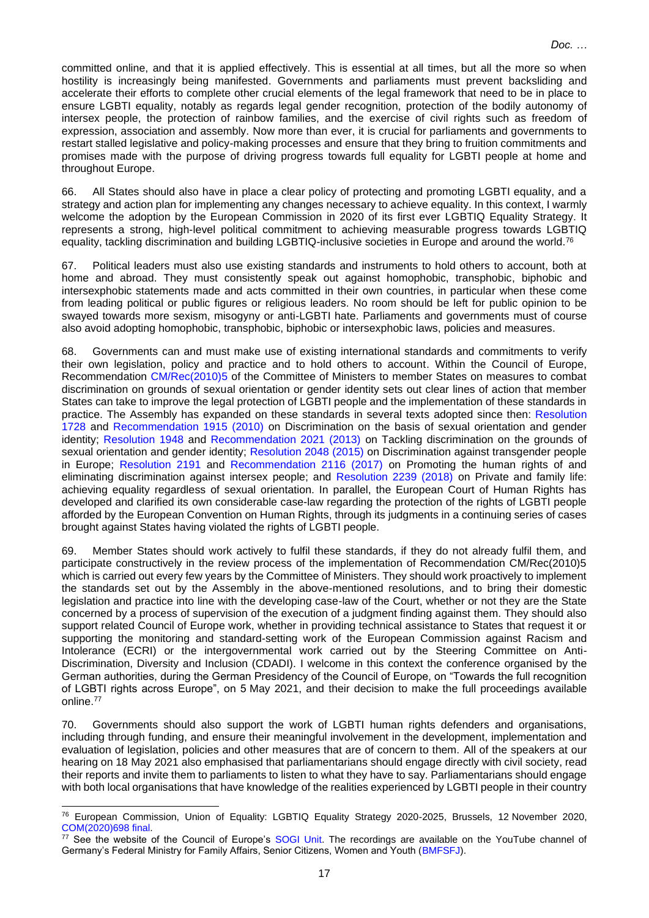committed online, and that it is applied effectively. This is essential at all times, but all the more so when hostility is increasingly being manifested. Governments and parliaments must prevent backsliding and accelerate their efforts to complete other crucial elements of the legal framework that need to be in place to ensure LGBTI equality, notably as regards legal gender recognition, protection of the bodily autonomy of intersex people, the protection of rainbow families, and the exercise of civil rights such as freedom of expression, association and assembly. Now more than ever, it is crucial for parliaments and governments to restart stalled legislative and policy-making processes and ensure that they bring to fruition commitments and promises made with the purpose of driving progress towards full equality for LGBTI people at home and throughout Europe.

66. All States should also have in place a clear policy of protecting and promoting LGBTI equality, and a strategy and action plan for implementing any changes necessary to achieve equality. In this context, I warmly welcome the adoption by the European Commission in 2020 of its first ever LGBTIQ Equality Strategy. It represents a strong, high-level political commitment to achieving measurable progress towards LGBTIQ equality, tackling discrimination and building LGBTIQ-inclusive societies in Europe and around the world.<sup>76</sup>

67. Political leaders must also use existing standards and instruments to hold others to account, both at home and abroad. They must consistently speak out against homophobic, transphobic, biphobic and intersexphobic statements made and acts committed in their own countries, in particular when these come from leading political or public figures or religious leaders. No room should be left for public opinion to be swayed towards more sexism, misogyny or anti-LGBTI hate. Parliaments and governments must of course also avoid adopting homophobic, transphobic, biphobic or intersexphobic laws, policies and measures.

68. Governments can and must make use of existing international standards and commitments to verify their own legislation, policy and practice and to hold others to account. Within the Council of Europe, Recommendation [CM/Rec\(2010\)5](https://search.coe.int/cm/Pages/result_details.aspx?ObjectID=09000016805cf40a) of the Committee of Ministers to member States on measures to combat discrimination on grounds of sexual orientation or gender identity sets out clear lines of action that member States can take to improve the legal protection of LGBTI people and the implementation of these standards in practice. The Assembly has expanded on these standards in several texts adopted since then: [Resolution](https://pace.coe.int/en/files/17853)  [1728](https://pace.coe.int/en/files/17853) and [Recommendation 1915 \(2010\)](https://pace.coe.int/en/files/17854) on Discrimination on the basis of sexual orientation and gender identity; [Resolution 1948](https://pace.coe.int/en/files/20010) and [Recommendation 2021 \(2013\)](https://pace.coe.int/en/files/20011) on Tackling discrimination on the grounds of sexual orientation and gender identity; [Resolution 2048 \(2015\)](https://pace.coe.int/en/files/21736) on Discrimination against transgender people in Europe; [Resolution 2191](https://pace.coe.int/en/files/24232) and [Recommendation 2116 \(2017\)](https://pace.coe.int/en/files/24230) on Promoting the human rights of and eliminating discrimination against intersex people; and [Resolution 2239 \(2018\)](https://pace.coe.int/en/files/25166) on Private and family life: achieving equality regardless of sexual orientation. In parallel, the European Court of Human Rights has developed and clarified its own considerable case-law regarding the protection of the rights of LGBTI people afforded by the European Convention on Human Rights, through its judgments in a continuing series of cases brought against States having violated the rights of LGBTI people.

69. Member States should work actively to fulfil these standards, if they do not already fulfil them, and participate constructively in the review process of the implementation of Recommendation CM/Rec(2010)5 which is carried out every few years by the Committee of Ministers. They should work proactively to implement the standards set out by the Assembly in the above-mentioned resolutions, and to bring their domestic legislation and practice into line with the developing case-law of the Court, whether or not they are the State concerned by a process of supervision of the execution of a judgment finding against them. They should also support related Council of Europe work, whether in providing technical assistance to States that request it or supporting the monitoring and standard-setting work of the European Commission against Racism and Intolerance (ECRI) or the intergovernmental work carried out by the Steering Committee on Anti-Discrimination, Diversity and Inclusion (CDADI). I welcome in this context the conference organised by the German authorities, during the German Presidency of the Council of Europe, on "Towards the full recognition of LGBTI rights across Europe", on 5 May 2021, and their decision to make the full proceedings available online.<sup>77</sup>

70. Governments should also support the work of LGBTI human rights defenders and organisations, including through funding, and ensure their meaningful involvement in the development, implementation and evaluation of legislation, policies and other measures that are of concern to them. All of the speakers at our hearing on 18 May 2021 also emphasised that parliamentarians should engage directly with civil society, read their reports and invite them to parliaments to listen to what they have to say. Parliamentarians should engage with both local organisations that have knowledge of the realities experienced by LGBTI people in their country

<sup>76</sup> European Commission, Union of Equality: LGBTIQ Equality Strategy 2020-2025, Brussels, 12 November 2020, [COM\(2020\)698 final.](https://eur-lex.europa.eu/legal-content/EN/TXT/?uri=CELEX:52020DC0698)

<sup>77</sup> See the website of the Council of Europe's [SOGI Unit.](https://www.coe.int/en/web/sogi/-/towards-the-full-recognition-of-lgbti-rights-across-europe-strategic-policy-measures-to-implement-the-2010-coe-recommendation-on-sogi) The recordings are available on the YouTube channel of Germany's Federal Ministry for Family Affairs, Senior Citizens, Women and Youth [\(BMFSFJ\)](https://www.youtube.com/channel/UCK037_G4UDLXZ7uR_2tCl2g).